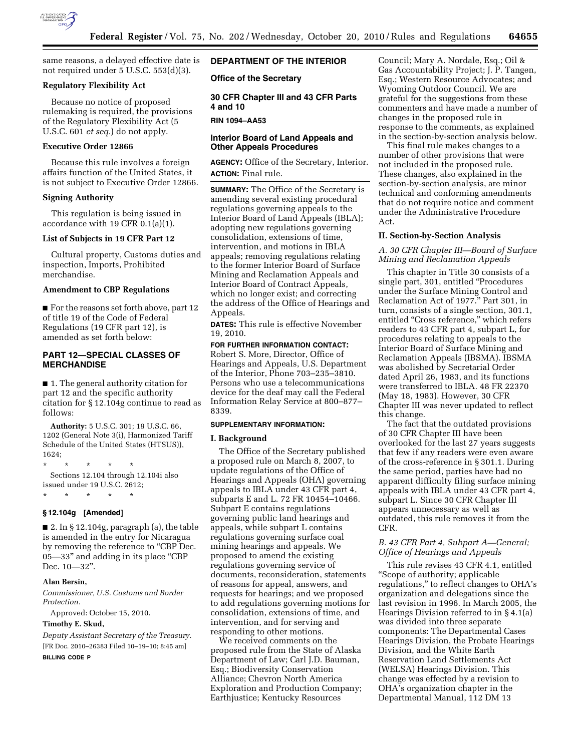

same reasons, a delayed effective date is not required under 5 U.S.C. 553(d)(3).

## **Regulatory Flexibility Act**

Because no notice of proposed rulemaking is required, the provisions of the Regulatory Flexibility Act (5 U.S.C. 601 *et seq.*) do not apply.

# **Executive Order 12866**

Because this rule involves a foreign affairs function of the United States, it is not subject to Executive Order 12866.

## **Signing Authority**

This regulation is being issued in accordance with 19 CFR 0.1(a)(1).

# **List of Subjects in 19 CFR Part 12**

Cultural property, Customs duties and inspection, Imports, Prohibited merchandise.

#### **Amendment to CBP Regulations**

■ For the reasons set forth above, part 12 of title 19 of the Code of Federal Regulations (19 CFR part 12), is amended as set forth below:

# **PART 12—SPECIAL CLASSES OF MERCHANDISE**

■ 1. The general authority citation for part 12 and the specific authority citation for § 12.104g continue to read as follows:

**Authority:** 5 U.S.C. 301; 19 U.S.C. 66, 1202 (General Note 3(i), Harmonized Tariff Schedule of the United States (HTSUS)), 1624;

\* \* \* \* \* Sections 12.104 through 12.104i also issued under 19 U.S.C. 2612;

#### **§ 12.104g [Amended]**

\* \* \* \* \*

■ 2. In § 12.104g, paragraph (a), the table is amended in the entry for Nicaragua by removing the reference to "CBP Dec. 05-33" and adding in its place "CBP Dec. 10—32''.

# **Alan Bersin,**

*Commissioner, U.S. Customs and Border Protection.* 

Approved: October 15, 2010.

# **Timothy E. Skud,**

*Deputy Assistant Secretary of the Treasury.*  [FR Doc. 2010–26383 Filed 10–19–10; 8:45 am] **BILLING CODE P** 

**DEPARTMENT OF THE INTERIOR** 

**Office of the Secretary** 

# **30 CFR Chapter III and 43 CFR Parts 4 and 10**

**RIN 1094–AA53** 

# **Interior Board of Land Appeals and Other Appeals Procedures**

**AGENCY:** Office of the Secretary, Interior. **ACTION:** Final rule.

**SUMMARY:** The Office of the Secretary is amending several existing procedural regulations governing appeals to the Interior Board of Land Appeals (IBLA); adopting new regulations governing consolidation, extensions of time, intervention, and motions in IBLA appeals; removing regulations relating to the former Interior Board of Surface Mining and Reclamation Appeals and Interior Board of Contract Appeals, which no longer exist; and correcting the address of the Office of Hearings and Appeals.

**DATES:** This rule is effective November 19, 2010.

**FOR FURTHER INFORMATION CONTACT:**  Robert S. More, Director, Office of Hearings and Appeals, U.S. Department of the Interior, Phone 703–235–3810. Persons who use a telecommunications device for the deaf may call the Federal Information Relay Service at 800–877– 8339.

#### **SUPPLEMENTARY INFORMATION:**

### **I. Background**

The Office of the Secretary published a proposed rule on March 8, 2007, to update regulations of the Office of Hearings and Appeals (OHA) governing appeals to IBLA under 43 CFR part 4, subparts E and L. 72 FR 10454–10466. Subpart E contains regulations governing public land hearings and appeals, while subpart L contains regulations governing surface coal mining hearings and appeals. We proposed to amend the existing regulations governing service of documents, reconsideration, statements of reasons for appeal, answers, and requests for hearings; and we proposed to add regulations governing motions for consolidation, extensions of time, and intervention, and for serving and responding to other motions.

We received comments on the proposed rule from the State of Alaska Department of Law; Carl J.D. Bauman, Esq.; Biodiversity Conservation Alliance; Chevron North America Exploration and Production Company; Earthjustice; Kentucky Resources

Council; Mary A. Nordale, Esq.; Oil & Gas Accountability Project; J. P. Tangen, Esq.; Western Resource Advocates; and Wyoming Outdoor Council. We are grateful for the suggestions from these commenters and have made a number of changes in the proposed rule in response to the comments, as explained in the section-by-section analysis below.

This final rule makes changes to a number of other provisions that were not included in the proposed rule. These changes, also explained in the section-by-section analysis, are minor technical and conforming amendments that do not require notice and comment under the Administrative Procedure Act.

# **II. Section-by-Section Analysis**

*A. 30 CFR Chapter III—Board of Surface Mining and Reclamation Appeals* 

This chapter in Title 30 consists of a single part, 301, entitled ''Procedures under the Surface Mining Control and Reclamation Act of 1977.'' Part 301, in turn, consists of a single section, 301.1, entitled "Cross reference," which refers readers to 43 CFR part 4, subpart L, for procedures relating to appeals to the Interior Board of Surface Mining and Reclamation Appeals (IBSMA). IBSMA was abolished by Secretarial Order dated April 26, 1983, and its functions were transferred to IBLA. 48 FR 22370 (May 18, 1983). However, 30 CFR Chapter III was never updated to reflect this change.

The fact that the outdated provisions of 30 CFR Chapter III have been overlooked for the last 27 years suggests that few if any readers were even aware of the cross-reference in § 301.1. During the same period, parties have had no apparent difficulty filing surface mining appeals with IBLA under 43 CFR part 4, subpart L. Since 30 CFR Chapter III appears unnecessary as well as outdated, this rule removes it from the CFR.

# *B. 43 CFR Part 4, Subpart A—General; Office of Hearings and Appeals*

This rule revises 43 CFR 4.1, entitled ''Scope of authority; applicable regulations,'' to reflect changes to OHA's organization and delegations since the last revision in 1996. In March 2005, the Hearings Division referred to in § 4.1(a) was divided into three separate components: The Departmental Cases Hearings Division, the Probate Hearings Division, and the White Earth Reservation Land Settlements Act (WELSA) Hearings Division. This change was effected by a revision to OHA's organization chapter in the Departmental Manual, 112 DM 13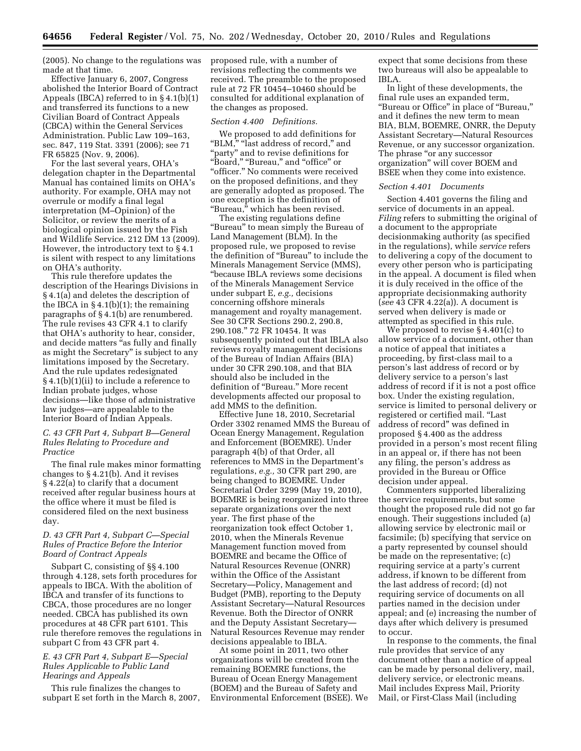(2005). No change to the regulations was made at that time.

Effective January 6, 2007, Congress abolished the Interior Board of Contract Appeals (IBCA) referred to in § 4.1(b)(1) and transferred its functions to a new Civilian Board of Contract Appeals (CBCA) within the General Services Administration. Public Law 109–163, sec. 847, 119 Stat. 3391 (2006); see 71 FR 65825 (Nov. 9, 2006).

For the last several years, OHA's delegation chapter in the Departmental Manual has contained limits on OHA's authority. For example, OHA may not overrule or modify a final legal interpretation (M–Opinion) of the Solicitor, or review the merits of a biological opinion issued by the Fish and Wildlife Service. 212 DM 13 (2009). However, the introductory text to § 4.1 is silent with respect to any limitations on OHA's authority.

This rule therefore updates the description of the Hearings Divisions in § 4.1(a) and deletes the description of the IBCA in  $\S$  4.1(b)(1); the remaining paragraphs of § 4.1(b) are renumbered. The rule revises 43 CFR 4.1 to clarify that OHA's authority to hear, consider, and decide matters ''as fully and finally as might the Secretary'' is subject to any limitations imposed by the Secretary. And the rule updates redesignated § 4.1(b)(1)(ii) to include a reference to Indian probate judges, whose decisions—like those of administrative law judges—are appealable to the Interior Board of Indian Appeals.

## *C. 43 CFR Part 4, Subpart B—General Rules Relating to Procedure and Practice*

The final rule makes minor formatting changes to § 4.21(b). And it revises § 4.22(a) to clarify that a document received after regular business hours at the office where it must be filed is considered filed on the next business day.

# *D. 43 CFR Part 4, Subpart C—Special Rules of Practice Before the Interior Board of Contract Appeals*

Subpart C, consisting of §§ 4.100 through 4.128, sets forth procedures for appeals to IBCA. With the abolition of IBCA and transfer of its functions to CBCA, those procedures are no longer needed. CBCA has published its own procedures at 48 CFR part 6101. This rule therefore removes the regulations in subpart C from 43 CFR part 4.

# *E. 43 CFR Part 4, Subpart E—Special Rules Applicable to Public Land Hearings and Appeals*

This rule finalizes the changes to subpart E set forth in the March 8, 2007, proposed rule, with a number of revisions reflecting the comments we received. The preamble to the proposed rule at 72 FR 10454–10460 should be consulted for additional explanation of the changes as proposed.

#### *Section 4.400 Definitions.*

We proposed to add definitions for "BLM," "last address of record," and "party" and to revise definitions for "Board," "Bureau," and "office" or "officer." No comments were received on the proposed definitions, and they are generally adopted as proposed. The one exception is the definition of ''Bureau,'' which has been revised.

The existing regulations define ''Bureau'' to mean simply the Bureau of Land Management (BLM). In the proposed rule, we proposed to revise the definition of ''Bureau'' to include the Minerals Management Service (MMS), ''because IBLA reviews some decisions of the Minerals Management Service under subpart E, *e.g.,* decisions concerning offshore minerals management and royalty management. See 30 CFR Sections 290.2, 290.8, 290.108.'' 72 FR 10454. It was subsequently pointed out that IBLA also reviews royalty management decisions of the Bureau of Indian Affairs (BIA) under 30 CFR 290.108, and that BIA should also be included in the definition of "Bureau." More recent developments affected our proposal to add MMS to the definition.

Effective June 18, 2010, Secretarial Order 3302 renamed MMS the Bureau of Ocean Energy Management, Regulation and Enforcement (BOEMRE). Under paragraph 4(b) of that Order, all references to MMS in the Department's regulations, *e.g.,* 30 CFR part 290, are being changed to BOEMRE. Under Secretarial Order 3299 (May 19, 2010), BOEMRE is being reorganized into three separate organizations over the next year. The first phase of the reorganization took effect October 1, 2010, when the Minerals Revenue Management function moved from BOEMRE and became the Office of Natural Resources Revenue (ONRR) within the Office of the Assistant Secretary—Policy, Management and Budget (PMB), reporting to the Deputy Assistant Secretary—Natural Resources Revenue. Both the Director of ONRR and the Deputy Assistant Secretary— Natural Resources Revenue may render decisions appealable to IBLA.

At some point in 2011, two other organizations will be created from the remaining BOEMRE functions, the Bureau of Ocean Energy Management (BOEM) and the Bureau of Safety and Environmental Enforcement (BSEE). We

expect that some decisions from these two bureaus will also be appealable to IBLA.

In light of these developments, the final rule uses an expanded term, ''Bureau or Office'' in place of ''Bureau,'' and it defines the new term to mean BIA, BLM, BOEMRE, ONRR, the Deputy Assistant Secretary—Natural Resources Revenue, or any successor organization. The phrase "or any successor organization'' will cover BOEM and BSEE when they come into existence.

#### *Section 4.401 Documents*

Section 4.401 governs the filing and service of documents in an appeal. *Filing* refers to submitting the original of a document to the appropriate decisionmaking authority (as specified in the regulations), while *service* refers to delivering a copy of the document to every other person who is participating in the appeal. A document is filed when it is duly received in the office of the appropriate decisionmaking authority (*see* 43 CFR 4.22(a)). A document is served when delivery is made or attempted as specified in this rule.

We proposed to revise § 4.401(c) to allow service of a document, other than a notice of appeal that initiates a proceeding, by first-class mail to a person's last address of record or by delivery service to a person's last address of record if it is not a post office box. Under the existing regulation, service is limited to personal delivery or registered or certified mail. ''Last address of record'' was defined in proposed § 4.400 as the address provided in a person's most recent filing in an appeal or, if there has not been any filing, the person's address as provided in the Bureau or Office decision under appeal.

Commenters supported liberalizing the service requirements, but some thought the proposed rule did not go far enough. Their suggestions included (a) allowing service by electronic mail or facsimile; (b) specifying that service on a party represented by counsel should be made on the representative; (c) requiring service at a party's current address, if known to be different from the last address of record; (d) not requiring service of documents on all parties named in the decision under appeal; and (e) increasing the number of days after which delivery is presumed to occur.

In response to the comments, the final rule provides that service of any document other than a notice of appeal can be made by personal delivery, mail, delivery service, or electronic means. Mail includes Express Mail, Priority Mail, or First-Class Mail (including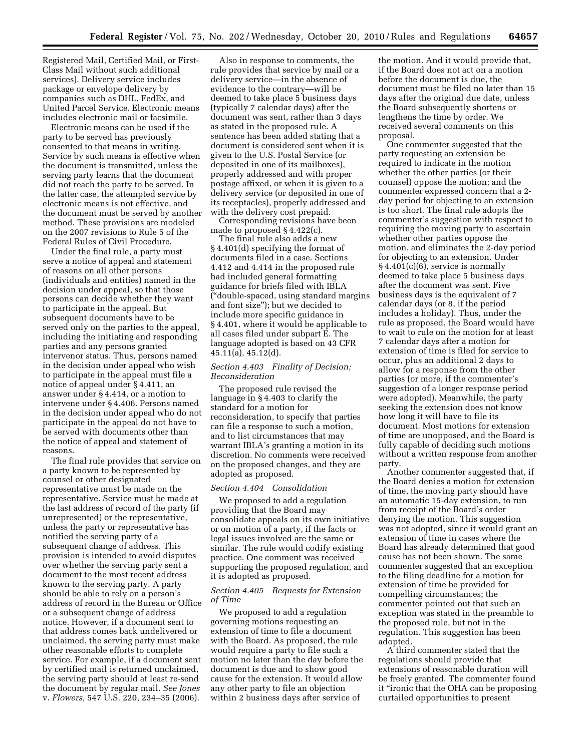Registered Mail, Certified Mail, or First-Class Mail without such additional services). Delivery service includes package or envelope delivery by companies such as DHL, FedEx, and United Parcel Service. Electronic means includes electronic mail or facsimile.

Electronic means can be used if the party to be served has previously consented to that means in writing. Service by such means is effective when the document is transmitted, unless the serving party learns that the document did not reach the party to be served. In the latter case, the attempted service by electronic means is not effective, and the document must be served by another method. These provisions are modeled on the 2007 revisions to Rule 5 of the Federal Rules of Civil Procedure.

Under the final rule, a party must serve a notice of appeal and statement of reasons on all other persons (individuals and entities) named in the decision under appeal, so that those persons can decide whether they want to participate in the appeal. But subsequent documents have to be served only on the parties to the appeal, including the initiating and responding parties and any persons granted intervenor status. Thus, persons named in the decision under appeal who wish to participate in the appeal must file a notice of appeal under § 4.411, an answer under § 4.414, or a motion to intervene under § 4.406. Persons named in the decision under appeal who do not participate in the appeal do not have to be served with documents other than the notice of appeal and statement of reasons.

The final rule provides that service on a party known to be represented by counsel or other designated representative must be made on the representative. Service must be made at the last address of record of the party (if unrepresented) or the representative, unless the party or representative has notified the serving party of a subsequent change of address. This provision is intended to avoid disputes over whether the serving party sent a document to the most recent address known to the serving party. A party should be able to rely on a person's address of record in the Bureau or Office or a subsequent change of address notice. However, if a document sent to that address comes back undelivered or unclaimed, the serving party must make other reasonable efforts to complete service. For example, if a document sent by certified mail is returned unclaimed, the serving party should at least re-send the document by regular mail. *See Jones*  v. *Flowers,* 547 U.S. 220, 234–35 (2006).

Also in response to comments, the rule provides that service by mail or a delivery service—in the absence of evidence to the contrary—will be deemed to take place 5 business days (typically 7 calendar days) after the document was sent, rather than 3 days as stated in the proposed rule. A sentence has been added stating that a document is considered sent when it is given to the U.S. Postal Service (or deposited in one of its mailboxes), properly addressed and with proper postage affixed, or when it is given to a delivery service (or deposited in one of its receptacles), properly addressed and with the delivery cost prepaid.

Corresponding revisions have been made to proposed § 4.422(c).

The final rule also adds a new § 4.401(d) specifying the format of documents filed in a case. Sections 4.412 and 4.414 in the proposed rule had included general formatting guidance for briefs filed with IBLA (''double-spaced, using standard margins and font size''); but we decided to include more specific guidance in § 4.401, where it would be applicable to all cases filed under subpart E. The language adopted is based on 43 CFR 45.11(a), 45.12(d).

## *Section 4.403 Finality of Decision; Reconsideration*

The proposed rule revised the language in § 4.403 to clarify the standard for a motion for reconsideration, to specify that parties can file a response to such a motion, and to list circumstances that may warrant IBLA's granting a motion in its discretion. No comments were received on the proposed changes, and they are adopted as proposed.

#### *Section 4.404 Consolidation*

We proposed to add a regulation providing that the Board may consolidate appeals on its own initiative or on motion of a party, if the facts or legal issues involved are the same or similar. The rule would codify existing practice. One comment was received supporting the proposed regulation, and it is adopted as proposed.

# *Section 4.405 Requests for Extension of Time*

We proposed to add a regulation governing motions requesting an extension of time to file a document with the Board. As proposed, the rule would require a party to file such a motion no later than the day before the document is due and to show good cause for the extension. It would allow any other party to file an objection within 2 business days after service of

the motion. And it would provide that, if the Board does not act on a motion before the document is due, the document must be filed no later than 15 days after the original due date, unless the Board subsequently shortens or lengthens the time by order. We received several comments on this proposal.

One commenter suggested that the party requesting an extension be required to indicate in the motion whether the other parties (or their counsel) oppose the motion; and the commenter expressed concern that a 2 day period for objecting to an extension is too short. The final rule adopts the commenter's suggestion with respect to requiring the moving party to ascertain whether other parties oppose the motion, and eliminates the 2-day period for objecting to an extension. Under § 4.401(c)(6), service is normally deemed to take place 5 business days after the document was sent. Five business days is the equivalent of 7 calendar days (or 8, if the period includes a holiday). Thus, under the rule as proposed, the Board would have to wait to rule on the motion for at least 7 calendar days after a motion for extension of time is filed for service to occur, plus an additional 2 days to allow for a response from the other parties (or more, if the commenter's suggestion of a longer response period were adopted). Meanwhile, the party seeking the extension does not know how long it will have to file its document. Most motions for extension of time are unopposed, and the Board is fully capable of deciding such motions without a written response from another party.

Another commenter suggested that, if the Board denies a motion for extension of time, the moving party should have an automatic 15-day extension, to run from receipt of the Board's order denying the motion. This suggestion was not adopted, since it would grant an extension of time in cases where the Board has already determined that good cause has not been shown. The same commenter suggested that an exception to the filing deadline for a motion for extension of time be provided for compelling circumstances; the commenter pointed out that such an exception was stated in the preamble to the proposed rule, but not in the regulation. This suggestion has been adopted.

A third commenter stated that the regulations should provide that extensions of reasonable duration will be freely granted. The commenter found it ''ironic that the OHA can be proposing curtailed opportunities to present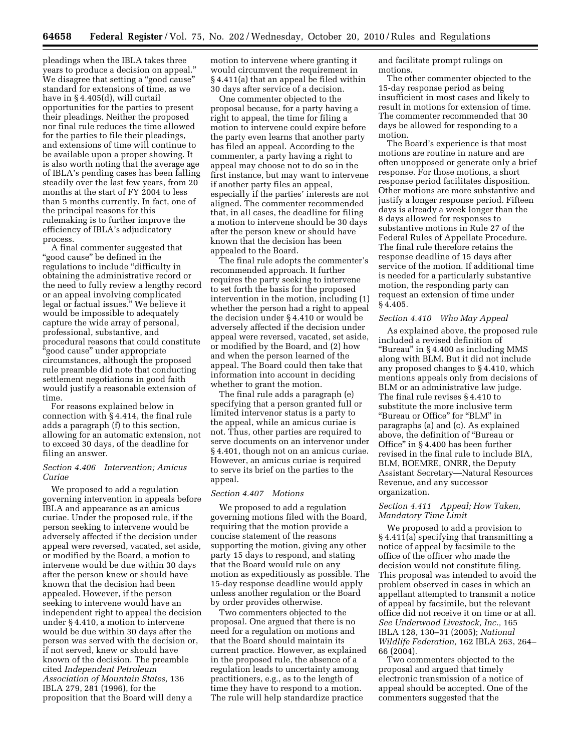pleadings when the IBLA takes three years to produce a decision on appeal.'' We disagree that setting a "good cause" standard for extensions of time, as we have in § 4.405(d), will curtail opportunities for the parties to present their pleadings. Neither the proposed nor final rule reduces the time allowed for the parties to file their pleadings, and extensions of time will continue to be available upon a proper showing. It is also worth noting that the average age of IBLA's pending cases has been falling steadily over the last few years, from 20 months at the start of FY 2004 to less than 5 months currently. In fact, one of the principal reasons for this rulemaking is to further improve the efficiency of IBLA's adjudicatory process.

A final commenter suggested that ''good cause'' be defined in the regulations to include "difficulty in obtaining the administrative record or the need to fully review a lengthy record or an appeal involving complicated legal or factual issues.'' We believe it would be impossible to adequately capture the wide array of personal, professional, substantive, and procedural reasons that could constitute ''good cause'' under appropriate circumstances, although the proposed rule preamble did note that conducting settlement negotiations in good faith would justify a reasonable extension of time.

For reasons explained below in connection with § 4.414, the final rule adds a paragraph (f) to this section, allowing for an automatic extension, not to exceed 30 days, of the deadline for filing an answer.

### *Section 4.406 Intervention; Amicus Curiae*

We proposed to add a regulation governing intervention in appeals before IBLA and appearance as an amicus curiae. Under the proposed rule, if the person seeking to intervene would be adversely affected if the decision under appeal were reversed, vacated, set aside, or modified by the Board, a motion to intervene would be due within 30 days after the person knew or should have known that the decision had been appealed. However, if the person seeking to intervene would have an independent right to appeal the decision under § 4.410, a motion to intervene would be due within 30 days after the person was served with the decision or, if not served, knew or should have known of the decision. The preamble cited *Independent Petroleum Association of Mountain States,* 136 IBLA 279, 281 (1996), for the proposition that the Board will deny a

motion to intervene where granting it would circumvent the requirement in § 4.411(a) that an appeal be filed within 30 days after service of a decision.

One commenter objected to the proposal because, for a party having a right to appeal, the time for filing a motion to intervene could expire before the party even learns that another party has filed an appeal. According to the commenter, a party having a right to appeal may choose not to do so in the first instance, but may want to intervene if another party files an appeal, especially if the parties' interests are not aligned. The commenter recommended that, in all cases, the deadline for filing a motion to intervene should be 30 days after the person knew or should have known that the decision has been appealed to the Board.

The final rule adopts the commenter's recommended approach. It further requires the party seeking to intervene to set forth the basis for the proposed intervention in the motion, including (1) whether the person had a right to appeal the decision under § 4.410 or would be adversely affected if the decision under appeal were reversed, vacated, set aside, or modified by the Board, and (2) how and when the person learned of the appeal. The Board could then take that information into account in deciding whether to grant the motion.

The final rule adds a paragraph (e) specifying that a person granted full or limited intervenor status is a party to the appeal, while an amicus curiae is not. Thus, other parties are required to serve documents on an intervenor under § 4.401, though not on an amicus curiae. However, an amicus curiae is required to serve its brief on the parties to the appeal.

### *Section 4.407 Motions*

We proposed to add a regulation governing motions filed with the Board, requiring that the motion provide a concise statement of the reasons supporting the motion, giving any other party 15 days to respond, and stating that the Board would rule on any motion as expeditiously as possible. The 15-day response deadline would apply unless another regulation or the Board by order provides otherwise.

Two commenters objected to the proposal. One argued that there is no need for a regulation on motions and that the Board should maintain its current practice. However, as explained in the proposed rule, the absence of a regulation leads to uncertainty among practitioners, e.g., as to the length of time they have to respond to a motion. The rule will help standardize practice

and facilitate prompt rulings on motions.

The other commenter objected to the 15-day response period as being insufficient in most cases and likely to result in motions for extension of time. The commenter recommended that 30 days be allowed for responding to a motion.

The Board's experience is that most motions are routine in nature and are often unopposed or generate only a brief response. For those motions, a short response period facilitates disposition. Other motions are more substantive and justify a longer response period. Fifteen days is already a week longer than the 8 days allowed for responses to substantive motions in Rule 27 of the Federal Rules of Appellate Procedure. The final rule therefore retains the response deadline of 15 days after service of the motion. If additional time is needed for a particularly substantive motion, the responding party can request an extension of time under § 4.405.

### *Section 4.410 Who May Appeal*

As explained above, the proposed rule included a revised definition of ''Bureau'' in § 4.400 as including MMS along with BLM. But it did not include any proposed changes to § 4.410, which mentions appeals only from decisions of BLM or an administrative law judge. The final rule revises § 4.410 to substitute the more inclusive term ''Bureau or Office'' for ''BLM'' in paragraphs (a) and (c). As explained above, the definition of ''Bureau or Office'' in § 4.400 has been further revised in the final rule to include BIA, BLM, BOEMRE, ONRR, the Deputy Assistant Secretary—Natural Resources Revenue, and any successor organization.

# *Section 4.411 Appeal; How Taken, Mandatory Time Limit*

We proposed to add a provision to § 4.411(a) specifying that transmitting a notice of appeal by facsimile to the office of the officer who made the decision would not constitute filing. This proposal was intended to avoid the problem observed in cases in which an appellant attempted to transmit a notice of appeal by facsimile, but the relevant office did not receive it on time or at all. *See Underwood Livestock, Inc.,* 165 IBLA 128, 130–31 (2005); *National Wildlife Federation,* 162 IBLA 263, 264– 66 (2004).

Two commenters objected to the proposal and argued that timely electronic transmission of a notice of appeal should be accepted. One of the commenters suggested that the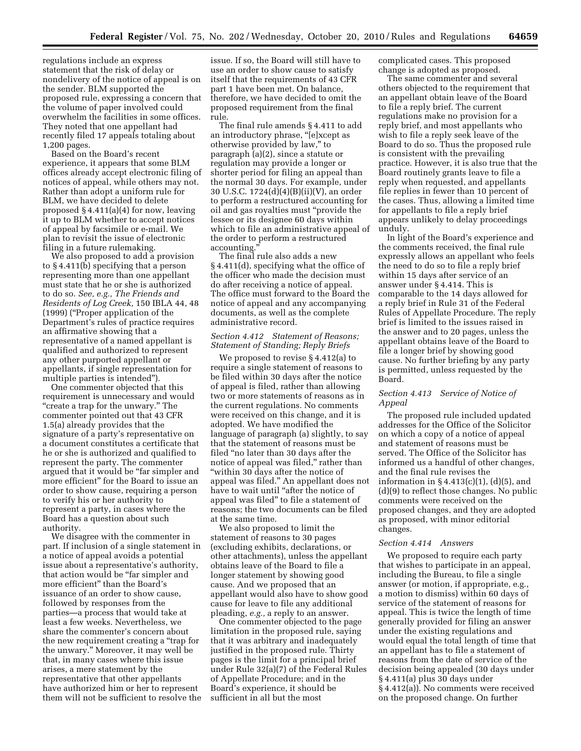regulations include an express statement that the risk of delay or nondelivery of the notice of appeal is on the sender. BLM supported the proposed rule, expressing a concern that the volume of paper involved could overwhelm the facilities in some offices. They noted that one appellant had recently filed 17 appeals totaling about 1,200 pages.

Based on the Board's recent experience, it appears that some BLM offices already accept electronic filing of notices of appeal, while others may not. Rather than adopt a uniform rule for BLM, we have decided to delete proposed  $§$  4.411(a)(4) for now, leaving it up to BLM whether to accept notices of appeal by facsimile or e-mail. We plan to revisit the issue of electronic filing in a future rulemaking.

We also proposed to add a provision to § 4.411(b) specifying that a person representing more than one appellant must state that he or she is authorized to do so. *See, e.g., The Friends and Residents of Log Creek,* 150 IBLA 44, 48 (1999) (''Proper application of the Department's rules of practice requires an affirmative showing that a representative of a named appellant is qualified and authorized to represent any other purported appellant or appellants, if single representation for multiple parties is intended'').

One commenter objected that this requirement is unnecessary and would ''create a trap for the unwary.'' The commenter pointed out that 43 CFR 1.5(a) already provides that the signature of a party's representative on a document constitutes a certificate that he or she is authorized and qualified to represent the party. The commenter argued that it would be ''far simpler and more efficient'' for the Board to issue an order to show cause, requiring a person to verify his or her authority to represent a party, in cases where the Board has a question about such authority.

We disagree with the commenter in part. If inclusion of a single statement in a notice of appeal avoids a potential issue about a representative's authority, that action would be "far simpler and more efficient'' than the Board's issuance of an order to show cause, followed by responses from the parties—a process that would take at least a few weeks. Nevertheless, we share the commenter's concern about the new requirement creating a ''trap for the unwary.'' Moreover, it may well be that, in many cases where this issue arises, a mere statement by the representative that other appellants have authorized him or her to represent them will not be sufficient to resolve the

issue. If so, the Board will still have to use an order to show cause to satisfy itself that the requirements of 43 CFR part 1 have been met. On balance, therefore, we have decided to omit the proposed requirement from the final rule.

The final rule amends § 4.411 to add an introductory phrase, "[e]xcept as otherwise provided by law,'' to paragraph (a)(2), since a statute or regulation may provide a longer or shorter period for filing an appeal than the normal 30 days. For example, under 30 U.S.C. 1724(d)(4)(B)(ii)(V), an order to perform a restructured accounting for oil and gas royalties must ''provide the lessee or its designee 60 days within which to file an administrative appeal of the order to perform a restructured accounting.''

The final rule also adds a new § 4.411(d), specifying what the office of the officer who made the decision must do after receiving a notice of appeal. The office must forward to the Board the notice of appeal and any accompanying documents, as well as the complete administrative record.

# *Section 4.412 Statement of Reasons; Statement of Standing; Reply Briefs*

We proposed to revise § 4.412(a) to require a single statement of reasons to be filed within 30 days after the notice of appeal is filed, rather than allowing two or more statements of reasons as in the current regulations. No comments were received on this change, and it is adopted. We have modified the language of paragraph (a) slightly, to say that the statement of reasons must be filed ''no later than 30 days after the notice of appeal was filed," rather than ''within 30 days after the notice of appeal was filed.'' An appellant does not have to wait until "after the notice of appeal was filed'' to file a statement of reasons; the two documents can be filed at the same time.

We also proposed to limit the statement of reasons to 30 pages (excluding exhibits, declarations, or other attachments), unless the appellant obtains leave of the Board to file a longer statement by showing good cause. And we proposed that an appellant would also have to show good cause for leave to file any additional pleading, *e.g.,* a reply to an answer.

One commenter objected to the page limitation in the proposed rule, saying that it was arbitrary and inadequately justified in the proposed rule. Thirty pages is the limit for a principal brief under Rule 32(a)(7) of the Federal Rules of Appellate Procedure; and in the Board's experience, it should be sufficient in all but the most

complicated cases. This proposed change is adopted as proposed.

The same commenter and several others objected to the requirement that an appellant obtain leave of the Board to file a reply brief. The current regulations make no provision for a reply brief, and most appellants who wish to file a reply seek leave of the Board to do so. Thus the proposed rule is consistent with the prevailing practice. However, it is also true that the Board routinely grants leave to file a reply when requested, and appellants file replies in fewer than 10 percent of the cases. Thus, allowing a limited time for appellants to file a reply brief appears unlikely to delay proceedings unduly.

In light of the Board's experience and the comments received, the final rule expressly allows an appellant who feels the need to do so to file a reply brief within 15 days after service of an answer under § 4.414. This is comparable to the 14 days allowed for a reply brief in Rule 31 of the Federal Rules of Appellate Procedure. The reply brief is limited to the issues raised in the answer and to 20 pages, unless the appellant obtains leave of the Board to file a longer brief by showing good cause. No further briefing by any party is permitted, unless requested by the Board.

# *Section 4.413 Service of Notice of Appeal*

The proposed rule included updated addresses for the Office of the Solicitor on which a copy of a notice of appeal and statement of reasons must be served. The Office of the Solicitor has informed us a handful of other changes, and the final rule revises the information in  $\S 4.413(c)(1)$ ,  $(d)(5)$ , and (d)(9) to reflect those changes. No public comments were received on the proposed changes, and they are adopted as proposed, with minor editorial changes.

## *Section 4.414 Answers*

We proposed to require each party that wishes to participate in an appeal, including the Bureau, to file a single answer (or motion, if appropriate, e.g., a motion to dismiss) within 60 days of service of the statement of reasons for appeal. This is twice the length of time generally provided for filing an answer under the existing regulations and would equal the total length of time that an appellant has to file a statement of reasons from the date of service of the decision being appealed (30 days under § 4.411(a) plus 30 days under § 4.412(a)). No comments were received on the proposed change. On further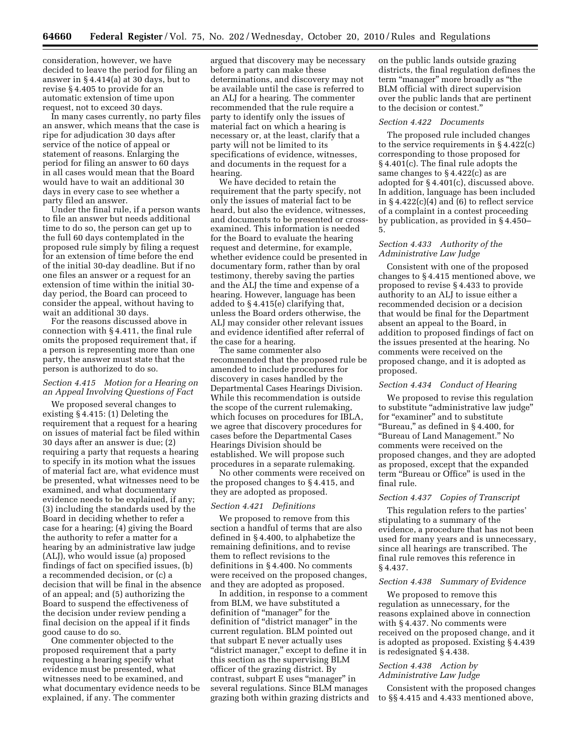consideration, however, we have decided to leave the period for filing an answer in § 4.414(a) at 30 days, but to revise § 4.405 to provide for an automatic extension of time upon request, not to exceed 30 days.

In many cases currently, no party files an answer, which means that the case is ripe for adjudication 30 days after service of the notice of appeal or statement of reasons. Enlarging the period for filing an answer to 60 days in all cases would mean that the Board would have to wait an additional 30 days in every case to see whether a party filed an answer.

Under the final rule, if a person wants to file an answer but needs additional time to do so, the person can get up to the full 60 days contemplated in the proposed rule simply by filing a request for an extension of time before the end of the initial 30-day deadline. But if no one files an answer or a request for an extension of time within the initial 30 day period, the Board can proceed to consider the appeal, without having to wait an additional 30 days.

For the reasons discussed above in connection with § 4.411, the final rule omits the proposed requirement that, if a person is representing more than one party, the answer must state that the person is authorized to do so.

# *Section 4.415 Motion for a Hearing on an Appeal Involving Questions of Fact*

We proposed several changes to existing § 4.415: (1) Deleting the requirement that a request for a hearing on issues of material fact be filed within 30 days after an answer is due; (2) requiring a party that requests a hearing to specify in its motion what the issues of material fact are, what evidence must be presented, what witnesses need to be examined, and what documentary evidence needs to be explained, if any; (3) including the standards used by the Board in deciding whether to refer a case for a hearing; (4) giving the Board the authority to refer a matter for a hearing by an administrative law judge (ALJ), who would issue (a) proposed findings of fact on specified issues, (b) a recommended decision, or (c) a decision that will be final in the absence of an appeal; and (5) authorizing the Board to suspend the effectiveness of the decision under review pending a final decision on the appeal if it finds good cause to do so.

One commenter objected to the proposed requirement that a party requesting a hearing specify what evidence must be presented, what witnesses need to be examined, and what documentary evidence needs to be explained, if any. The commenter

argued that discovery may be necessary before a party can make these determinations, and discovery may not be available until the case is referred to an ALJ for a hearing. The commenter recommended that the rule require a party to identify only the issues of material fact on which a hearing is necessary or, at the least, clarify that a party will not be limited to its specifications of evidence, witnesses, and documents in the request for a hearing.

We have decided to retain the requirement that the party specify, not only the issues of material fact to be heard, but also the evidence, witnesses, and documents to be presented or crossexamined. This information is needed for the Board to evaluate the hearing request and determine, for example, whether evidence could be presented in documentary form, rather than by oral testimony, thereby saving the parties and the ALJ the time and expense of a hearing. However, language has been added to § 4.415(e) clarifying that, unless the Board orders otherwise, the ALJ may consider other relevant issues and evidence identified after referral of the case for a hearing.

The same commenter also recommended that the proposed rule be amended to include procedures for discovery in cases handled by the Departmental Cases Hearings Division. While this recommendation is outside the scope of the current rulemaking, which focuses on procedures for IBLA, we agree that discovery procedures for cases before the Departmental Cases Hearings Division should be established. We will propose such procedures in a separate rulemaking.

No other comments were received on the proposed changes to § 4.415, and they are adopted as proposed.

### *Section 4.421 Definitions*

We proposed to remove from this section a handful of terms that are also defined in § 4.400, to alphabetize the remaining definitions, and to revise them to reflect revisions to the definitions in § 4.400. No comments were received on the proposed changes, and they are adopted as proposed.

In addition, in response to a comment from BLM, we have substituted a definition of ''manager'' for the definition of "district manager" in the current regulation. BLM pointed out that subpart E never actually uses "district manager," except to define it in this section as the supervising BLM officer of the grazing district. By contrast, subpart E uses ''manager'' in several regulations. Since BLM manages grazing both within grazing districts and on the public lands outside grazing districts, the final regulation defines the term "manager" more broadly as "the BLM official with direct supervision over the public lands that are pertinent to the decision or contest.''

#### *Section 4.422 Documents*

The proposed rule included changes to the service requirements in § 4.422(c) corresponding to those proposed for § 4.401(c). The final rule adopts the same changes to § 4.422(c) as are adopted for § 4.401(c), discussed above. In addition, language has been included in  $\S 4.422(c)(4)$  and (6) to reflect service of a complaint in a contest proceeding by publication, as provided in § 4.450– 5.

# *Section 4.433 Authority of the Administrative Law Judge*

Consistent with one of the proposed changes to § 4.415 mentioned above, we proposed to revise § 4.433 to provide authority to an ALJ to issue either a recommended decision or a decision that would be final for the Department absent an appeal to the Board, in addition to proposed findings of fact on the issues presented at the hearing. No comments were received on the proposed change, and it is adopted as proposed.

# *Section 4.434 Conduct of Hearing*

We proposed to revise this regulation to substitute ''administrative law judge'' for "examiner" and to substitute ''Bureau,'' as defined in § 4.400, for ''Bureau of Land Management.'' No comments were received on the proposed changes, and they are adopted as proposed, except that the expanded term ''Bureau or Office'' is used in the final rule.

## *Section 4.437 Copies of Transcript*

This regulation refers to the parties' stipulating to a summary of the evidence, a procedure that has not been used for many years and is unnecessary, since all hearings are transcribed. The final rule removes this reference in § 4.437.

#### *Section 4.438 Summary of Evidence*

We proposed to remove this regulation as unnecessary, for the reasons explained above in connection with § 4.437. No comments were received on the proposed change, and it is adopted as proposed. Existing § 4.439 is redesignated § 4.438.

## *Section 4.438 Action by Administrative Law Judge*

Consistent with the proposed changes to §§ 4.415 and 4.433 mentioned above,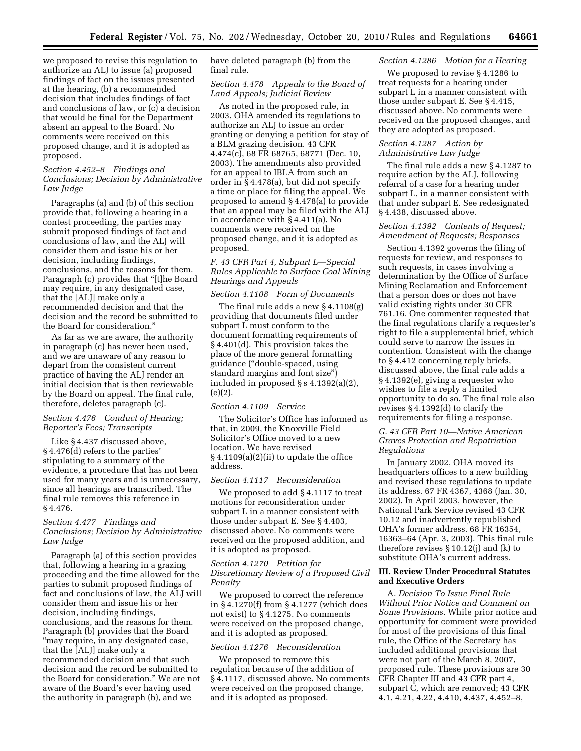we proposed to revise this regulation to authorize an ALJ to issue (a) proposed findings of fact on the issues presented at the hearing, (b) a recommended decision that includes findings of fact and conclusions of law, or (c) a decision that would be final for the Department absent an appeal to the Board. No comments were received on this proposed change, and it is adopted as proposed.

# *Section 4.452–8 Findings and Conclusions; Decision by Administrative Law Judge*

Paragraphs (a) and (b) of this section provide that, following a hearing in a contest proceeding, the parties may submit proposed findings of fact and conclusions of law, and the ALJ will consider them and issue his or her decision, including findings, conclusions, and the reasons for them. Paragraph (c) provides that ''[t]he Board may require, in any designated case, that the [ALJ] make only a recommended decision and that the decision and the record be submitted to the Board for consideration.''

As far as we are aware, the authority in paragraph (c) has never been used, and we are unaware of any reason to depart from the consistent current practice of having the ALJ render an initial decision that is then reviewable by the Board on appeal. The final rule, therefore, deletes paragraph (c).

# *Section 4.476 Conduct of Hearing; Reporter's Fees; Transcripts*

Like § 4.437 discussed above, § 4.476(d) refers to the parties' stipulating to a summary of the evidence, a procedure that has not been used for many years and is unnecessary, since all hearings are transcribed. The final rule removes this reference in § 4.476.

# *Section 4.477 Findings and Conclusions; Decision by Administrative Law Judge*

Paragraph (a) of this section provides that, following a hearing in a grazing proceeding and the time allowed for the parties to submit proposed findings of fact and conclusions of law, the ALJ will consider them and issue his or her decision, including findings, conclusions, and the reasons for them. Paragraph (b) provides that the Board "may require, in any designated case, that the [ALJ] make only a recommended decision and that such decision and the record be submitted to the Board for consideration.'' We are not aware of the Board's ever having used the authority in paragraph (b), and we

have deleted paragraph (b) from the final rule.

# *Section 4.478 Appeals to the Board of Land Appeals; Judicial Review*

As noted in the proposed rule, in 2003, OHA amended its regulations to authorize an ALJ to issue an order granting or denying a petition for stay of a BLM grazing decision. 43 CFR 4.474(c), 68 FR 68765, 68771 (Dec. 10, 2003). The amendments also provided for an appeal to IBLA from such an order in § 4.478(a), but did not specify a time or place for filing the appeal. We proposed to amend § 4.478(a) to provide that an appeal may be filed with the ALJ in accordance with § 4.411(a). No comments were received on the proposed change, and it is adopted as proposed.

*F. 43 CFR Part 4, Subpart L—Special Rules Applicable to Surface Coal Mining Hearings and Appeals* 

# *Section 4.1108 Form of Documents*

The final rule adds a new § 4.1108(g) providing that documents filed under subpart L must conform to the document formatting requirements of § 4.401(d). This provision takes the place of the more general formatting guidance (''double-spaced, using standard margins and font size'') included in proposed § s 4.1392(a)(2), (e)(2).

### *Section 4.1109 Service*

The Solicitor's Office has informed us that, in 2009, the Knoxville Field Solicitor's Office moved to a new location. We have revised § 4.1109(a)(2)(ii) to update the office address.

### *Section 4.1117 Reconsideration*

We proposed to add § 4.1117 to treat motions for reconsideration under subpart L in a manner consistent with those under subpart E. See § 4.403, discussed above. No comments were received on the proposed addition, and it is adopted as proposed.

# *Section 4.1270 Petition for Discretionary Review of a Proposed Civil Penalty*

We proposed to correct the reference in § 4.1270(f) from § 4.1277 (which does not exist) to § 4.1275. No comments were received on the proposed change, and it is adopted as proposed.

#### *Section 4.1276 Reconsideration*

We proposed to remove this regulation because of the addition of § 4.1117, discussed above. No comments were received on the proposed change, and it is adopted as proposed.

# *Section 4.1286 Motion for a Hearing*

We proposed to revise § 4.1286 to treat requests for a hearing under subpart L in a manner consistent with those under subpart E. See § 4.415, discussed above. No comments were received on the proposed changes, and they are adopted as proposed.

# *Section 4.1287 Action by Administrative Law Judge*

The final rule adds a new § 4.1287 to require action by the ALJ, following referral of a case for a hearing under subpart L, in a manner consistent with that under subpart E. See redesignated § 4.438, discussed above.

## *Section 4.1392 Contents of Request; Amendment of Requests; Responses*

Section 4.1392 governs the filing of requests for review, and responses to such requests, in cases involving a determination by the Office of Surface Mining Reclamation and Enforcement that a person does or does not have valid existing rights under 30 CFR 761.16. One commenter requested that the final regulations clarify a requester's right to file a supplemental brief, which could serve to narrow the issues in contention. Consistent with the change to § 4.412 concerning reply briefs, discussed above, the final rule adds a § 4.1392(e), giving a requester who wishes to file a reply a limited opportunity to do so. The final rule also revises § 4.1392(d) to clarify the requirements for filing a response.

# *G. 43 CFR Part 10—Native American Graves Protection and Repatriation Regulations*

In January 2002, OHA moved its headquarters offices to a new building and revised these regulations to update its address. 67 FR 4367, 4368 (Jan. 30, 2002). In April 2003, however, the National Park Service revised 43 CFR 10.12 and inadvertently republished OHA's former address. 68 FR 16354, 16363–64 (Apr. 3, 2003). This final rule therefore revises § 10.12(j) and (k) to substitute OHA's current address.

## **III. Review Under Procedural Statutes and Executive Orders**

A. *Decision To Issue Final Rule Without Prior Notice and Comment on Some Provisions.* While prior notice and opportunity for comment were provided for most of the provisions of this final rule, the Office of the Secretary has included additional provisions that were not part of the March 8, 2007, proposed rule. These provisions are 30 CFR Chapter III and 43 CFR part 4, subpart C, which are removed; 43 CFR 4.1, 4.21, 4.22, 4.410, 4.437, 4.452–8,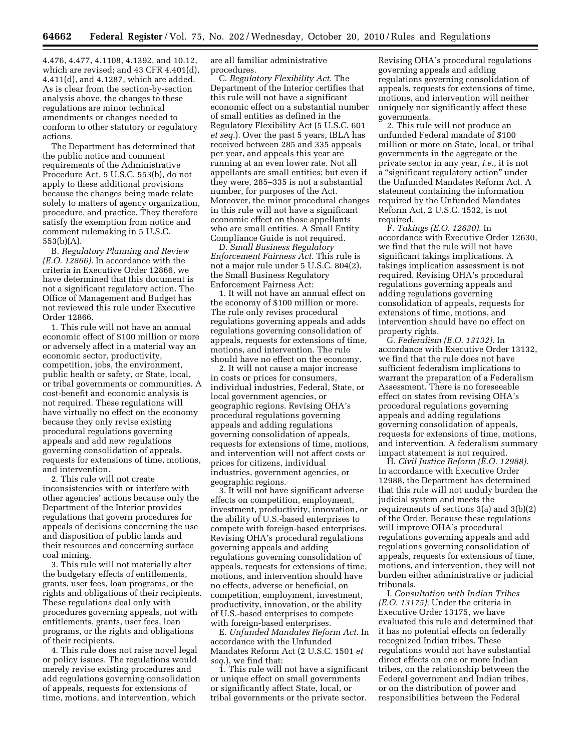4.476, 4.477, 4.1108, 4.1392, and 10.12, which are revised; and 43 CFR 4.401(d), 4.411(d), and 4.1287, which are added. As is clear from the section-by-section analysis above, the changes to these regulations are minor technical amendments or changes needed to conform to other statutory or regulatory actions.

The Department has determined that the public notice and comment requirements of the Administrative Procedure Act, 5 U.S.C. 553(b), do not apply to these additional provisions because the changes being made relate solely to matters of agency organization, procedure, and practice. They therefore satisfy the exemption from notice and comment rulemaking in 5 U.S.C. 553(b)(A).

B. *Regulatory Planning and Review (E.O. 12866).* In accordance with the criteria in Executive Order 12866, we have determined that this document is not a significant regulatory action. The Office of Management and Budget has not reviewed this rule under Executive Order 12866.

1. This rule will not have an annual economic effect of \$100 million or more or adversely affect in a material way an economic sector, productivity, competition, jobs, the environment, public health or safety, or State, local, or tribal governments or communities. A cost-benefit and economic analysis is not required. These regulations will have virtually no effect on the economy because they only revise existing procedural regulations governing appeals and add new regulations governing consolidation of appeals, requests for extensions of time, motions, and intervention.

2. This rule will not create inconsistencies with or interfere with other agencies' actions because only the Department of the Interior provides regulations that govern procedures for appeals of decisions concerning the use and disposition of public lands and their resources and concerning surface coal mining.

3. This rule will not materially alter the budgetary effects of entitlements, grants, user fees, loan programs, or the rights and obligations of their recipients. These regulations deal only with procedures governing appeals, not with entitlements, grants, user fees, loan programs, or the rights and obligations of their recipients.

4. This rule does not raise novel legal or policy issues. The regulations would merely revise existing procedures and add regulations governing consolidation of appeals, requests for extensions of time, motions, and intervention, which

are all familiar administrative procedures.

C. *Regulatory Flexibility Act.* The Department of the Interior certifies that this rule will not have a significant economic effect on a substantial number of small entities as defined in the Regulatory Flexibility Act (5 U.S.C. 601 *et seq.*). Over the past 5 years, IBLA has received between 285 and 335 appeals per year, and appeals this year are running at an even lower rate. Not all appellants are small entities; but even if they were, 285–335 is not a substantial number, for purposes of the Act. Moreover, the minor procedural changes in this rule will not have a significant economic effect on those appellants who are small entities. A Small Entity Compliance Guide is not required.

D. *Small Business Regulatory Enforcement Fairness Act.* This rule is not a major rule under 5 U.S.C. 804(2), the Small Business Regulatory Enforcement Fairness Act:

1. It will not have an annual effect on the economy of \$100 million or more. The rule only revises procedural regulations governing appeals and adds regulations governing consolidation of appeals, requests for extensions of time, motions, and intervention. The rule should have no effect on the economy.

2. It will not cause a major increase in costs or prices for consumers, individual industries, Federal, State, or local government agencies, or geographic regions. Revising OHA's procedural regulations governing appeals and adding regulations governing consolidation of appeals, requests for extensions of time, motions, and intervention will not affect costs or prices for citizens, individual industries, government agencies, or geographic regions.

3. It will not have significant adverse effects on competition, employment, investment, productivity, innovation, or the ability of U.S.-based enterprises to compete with foreign-based enterprises. Revising OHA's procedural regulations governing appeals and adding regulations governing consolidation of appeals, requests for extensions of time, motions, and intervention should have no effects, adverse or beneficial, on competition, employment, investment, productivity, innovation, or the ability of U.S.-based enterprises to compete with foreign-based enterprises.

E. *Unfunded Mandates Reform Act.* In accordance with the Unfunded Mandates Reform Act (2 U.S.C. 1501 *et seq.*), we find that:

1. This rule will not have a significant or unique effect on small governments or significantly affect State, local, or tribal governments or the private sector.

Revising OHA's procedural regulations governing appeals and adding regulations governing consolidation of appeals, requests for extensions of time, motions, and intervention will neither uniquely nor significantly affect these governments.

2. This rule will not produce an unfunded Federal mandate of \$100 million or more on State, local, or tribal governments in the aggregate or the private sector in any year, *i.e.,* it is not a ''significant regulatory action'' under the Unfunded Mandates Reform Act. A statement containing the information required by the Unfunded Mandates Reform Act, 2 U.S.C. 1532, is not required.

F. *Takings (E.O. 12630).* In accordance with Executive Order 12630, we find that the rule will not have significant takings implications. A takings implication assessment is not required. Revising OHA's procedural regulations governing appeals and adding regulations governing consolidation of appeals, requests for extensions of time, motions, and intervention should have no effect on property rights.

G. *Federalism (E.O. 13132).* In accordance with Executive Order 13132, we find that the rule does not have sufficient federalism implications to warrant the preparation of a Federalism Assessment. There is no foreseeable effect on states from revising OHA's procedural regulations governing appeals and adding regulations governing consolidation of appeals, requests for extensions of time, motions, and intervention. A federalism summary impact statement is not required.

H. *Civil Justice Reform (E.O. 12988).*  In accordance with Executive Order 12988, the Department has determined that this rule will not unduly burden the judicial system and meets the requirements of sections 3(a) and 3(b)(2) of the Order. Because these regulations will improve OHA's procedural regulations governing appeals and add regulations governing consolidation of appeals, requests for extensions of time, motions, and intervention, they will not burden either administrative or judicial tribunals.

I. *Consultation with Indian Tribes (E.O. 13175).* Under the criteria in Executive Order 13175, we have evaluated this rule and determined that it has no potential effects on federally recognized Indian tribes. These regulations would not have substantial direct effects on one or more Indian tribes, on the relationship between the Federal government and Indian tribes, or on the distribution of power and responsibilities between the Federal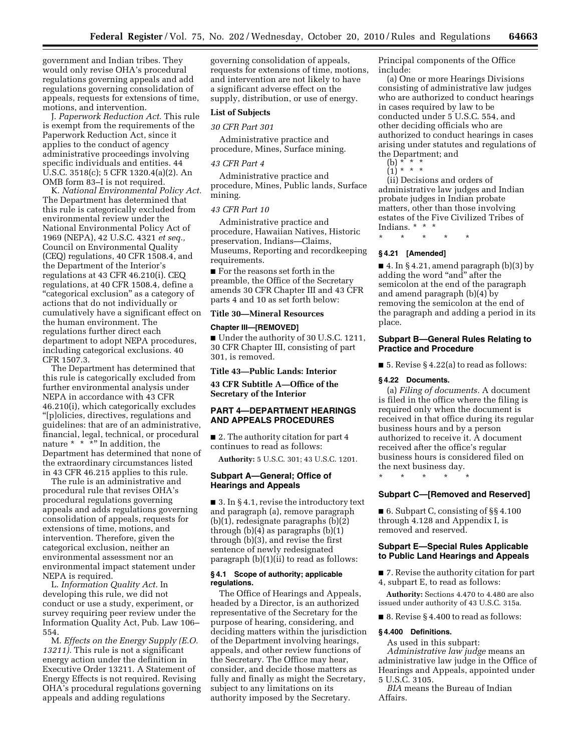government and Indian tribes. They would only revise OHA's procedural regulations governing appeals and add regulations governing consolidation of appeals, requests for extensions of time, motions, and intervention.

J. *Paperwork Reduction Act.* This rule is exempt from the requirements of the Paperwork Reduction Act, since it applies to the conduct of agency administrative proceedings involving specific individuals and entities. 44 U.S.C. 3518(c); 5 CFR 1320.4(a)(2). An OMB form 83–I is not required.

K. *National Environmental Policy Act.*  The Department has determined that this rule is categorically excluded from environmental review under the National Environmental Policy Act of 1969 (NEPA), 42 U.S.C. 4321 *et seq.,*  Council on Environmental Quality (CEQ) regulations, 40 CFR 1508.4, and the Department of the Interior's regulations at 43 CFR 46.210(i). CEQ regulations, at 40 CFR 1508.4, define a "categorical exclusion" as a category of actions that do not individually or cumulatively have a significant effect on the human environment. The regulations further direct each department to adopt NEPA procedures, including categorical exclusions. 40 CFR 1507.3.

The Department has determined that this rule is categorically excluded from further environmental analysis under NEPA in accordance with 43 CFR 46.210(i), which categorically excludes ''[p]olicies, directives, regulations and guidelines: that are of an administrative, financial, legal, technical, or procedural nature \* \* \*'' In addition, the Department has determined that none of the extraordinary circumstances listed in 43 CFR 46.215 applies to this rule.

The rule is an administrative and procedural rule that revises OHA's procedural regulations governing appeals and adds regulations governing consolidation of appeals, requests for extensions of time, motions, and intervention. Therefore, given the categorical exclusion, neither an environmental assessment nor an environmental impact statement under NEPA is required.

L. *Information Quality Act.* In developing this rule, we did not conduct or use a study, experiment, or survey requiring peer review under the Information Quality Act, Pub. Law 106– 554.

M. *Effects on the Energy Supply (E.O. 13211).* This rule is not a significant energy action under the definition in Executive Order 13211. A Statement of Energy Effects is not required. Revising OHA's procedural regulations governing appeals and adding regulations

governing consolidation of appeals, requests for extensions of time, motions, and intervention are not likely to have a significant adverse effect on the supply, distribution, or use of energy.

# **List of Subjects**

*30 CFR Part 301* 

Administrative practice and procedure, Mines, Surface mining.

#### *43 CFR Part 4*

Administrative practice and procedure, Mines, Public lands, Surface mining.

### *43 CFR Part 10*

Administrative practice and procedure, Hawaiian Natives, Historic preservation, Indians—Claims, Museums, Reporting and recordkeeping requirements.

■ For the reasons set forth in the preamble, the Office of the Secretary amends 30 CFR Chapter III and 43 CFR parts 4 and 10 as set forth below:

# **Title 30—Mineral Resources**

### **Chapter III—[REMOVED]**

■ Under the authority of 30 U.S.C. 1211, 30 CFR Chapter III, consisting of part 301, is removed.

#### **Title 43—Public Lands: Interior**

**43 CFR Subtitle A—Office of the Secretary of the Interior** 

# **PART 4—DEPARTMENT HEARINGS AND APPEALS PROCEDURES**

■ 2. The authority citation for part 4 continues to read as follows:

**Authority:** 5 U.S.C. 301; 43 U.S.C. 1201.

# **Subpart A—General; Office of Hearings and Appeals**

■ 3. In § 4.1, revise the introductory text and paragraph (a), remove paragraph  $(b)(1)$ , redesignate paragraphs  $(b)(2)$ through (b)(4) as paragraphs (b)(1) through (b)(3), and revise the first sentence of newly redesignated paragraph (b)(1)(ii) to read as follows:

# **§ 4.1 Scope of authority; applicable regulations.**

The Office of Hearings and Appeals, headed by a Director, is an authorized representative of the Secretary for the purpose of hearing, considering, and deciding matters within the jurisdiction of the Department involving hearings, appeals, and other review functions of the Secretary. The Office may hear, consider, and decide those matters as fully and finally as might the Secretary, subject to any limitations on its authority imposed by the Secretary.

Principal components of the Office include:

(a) One or more Hearings Divisions consisting of administrative law judges who are authorized to conduct hearings in cases required by law to be conducted under 5 U.S.C. 554, and other deciding officials who are authorized to conduct hearings in cases arising under statutes and regulations of the Department; and

- (b) \* \* \*
- (1) \* \* \*

(ii) Decisions and orders of administrative law judges and Indian probate judges in Indian probate matters, other than those involving estates of the Five Civilized Tribes of Indians. \* \* \*

\* \* \* \* \*

# **§ 4.21 [Amended]**

 $\blacksquare$  4. In § 4.21, amend paragraph (b)(3) by adding the word "and" after the semicolon at the end of the paragraph and amend paragraph (b)(4) by removing the semicolon at the end of the paragraph and adding a period in its place.

# **Subpart B—General Rules Relating to Practice and Procedure**

■ 5. Revise § 4.22(a) to read as follows:

## **§ 4.22 Documents.**

(a) *Filing of documents.* A document is filed in the office where the filing is required only when the document is received in that office during its regular business hours and by a person authorized to receive it. A document received after the office's regular business hours is considered filed on the next business day.

\* \* \* \* \*

# **Subpart C—[Removed and Reserved]**

■ 6. Subpart C, consisting of §§4.100 through 4.128 and Appendix I, is removed and reserved.

## **Subpart E—Special Rules Applicable to Public Land Hearings and Appeals**

■ 7. Revise the authority citation for part 4, subpart E, to read as follows:

**Authority:** Sections 4.470 to 4.480 are also issued under authority of 43 U.S.C. 315a.

■ 8. Revise § 4.400 to read as follows:

#### **§ 4.400 Definitions.**

As used in this subpart: *Administrative law judge* means an administrative law judge in the Office of Hearings and Appeals, appointed under 5 U.S.C. 3105.

*BIA* means the Bureau of Indian Affairs.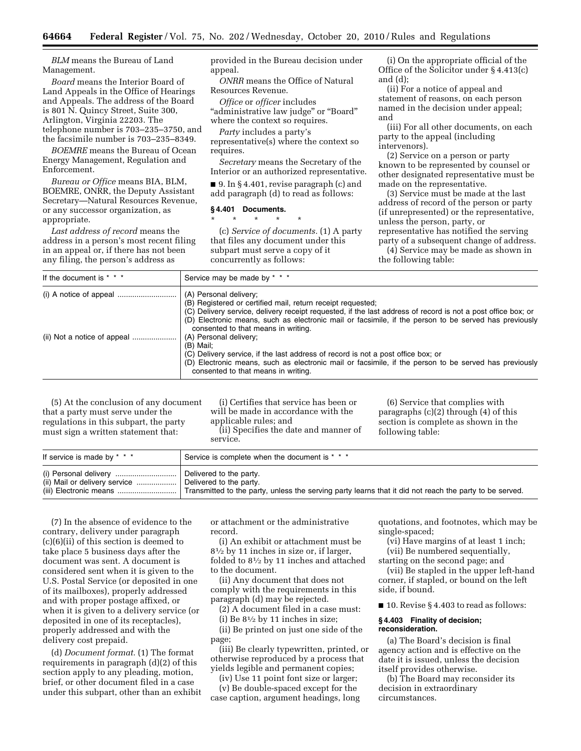*BLM* means the Bureau of Land Management.

*Board* means the Interior Board of Land Appeals in the Office of Hearings and Appeals. The address of the Board is 801 N. Quincy Street, Suite 300, Arlington, Virginia 22203. The telephone number is 703–235–3750, and the facsimile number is 703–235–8349.

*BOEMRE* means the Bureau of Ocean Energy Management, Regulation and Enforcement.

*Bureau or Office* means BIA, BLM, BOEMRE, ONRR, the Deputy Assistant Secretary—Natural Resources Revenue, or any successor organization, as appropriate.

*Last address of record* means the address in a person's most recent filing in an appeal or, if there has not been any filing, the person's address as

provided in the Bureau decision under appeal.

*ONRR* means the Office of Natural Resources Revenue.

*Office* or *officer* includes ''administrative law judge'' or ''Board'' where the context so requires.

*Party* includes a party's

representative(s) where the context so requires.

*Secretary* means the Secretary of the Interior or an authorized representative.

■ 9. In §4.401, revise paragraph (c) and add paragraph (d) to read as follows:

#### **§ 4.401 Documents.**

\* \* \* \* \*

(c) *Service of documents.* (1) A party that files any document under this subpart must serve a copy of it concurrently as follows:

(i) On the appropriate official of the Office of the Solicitor under § 4.413(c) and (d);

(ii) For a notice of appeal and statement of reasons, on each person named in the decision under appeal; and

(iii) For all other documents, on each party to the appeal (including intervenors).

(2) Service on a person or party known to be represented by counsel or other designated representative must be made on the representative.

(3) Service must be made at the last address of record of the person or party (if unrepresented) or the representative, unless the person, party, or representative has notified the serving party of a subsequent change of address. (4) Service may be made as shown in the following table:

| If the document is * * * | Service may be made by * * *                                                                                                                                                                                                                                                                                                                          |
|--------------------------|-------------------------------------------------------------------------------------------------------------------------------------------------------------------------------------------------------------------------------------------------------------------------------------------------------------------------------------------------------|
|                          | (A) Personal delivery;<br>(B) Registered or certified mail, return receipt requested;<br>(C) Delivery service, delivery receipt requested, if the last address of record is not a post office box; or<br>(D) Electronic means, such as electronic mail or facsimile, if the person to be served has previously<br>consented to that means in writing. |
|                          | (A) Personal delivery;<br>(B) Mail;<br>(C) Delivery service, if the last address of record is not a post office box; or<br>(D) Electronic means, such as electronic mail or facsimile, if the person to be served has previously<br>consented to that means in writing.                                                                               |

(5) At the conclusion of any document that a party must serve under the regulations in this subpart, the party must sign a written statement that:

(i) Certifies that service has been or will be made in accordance with the applicable rules; and (ii) Specifies the date and manner of service.

(6) Service that complies with paragraphs (c)(2) through (4) of this section is complete as shown in the following table:

| If service is made by * * *   | Service is complete when the document is * * *                                                          |
|-------------------------------|---------------------------------------------------------------------------------------------------------|
|                               | Delivered to the party.                                                                                 |
| (ii) Mail or delivery service | Delivered to the party.                                                                                 |
|                               | Transmitted to the party, unless the serving party learns that it did not reach the party to be served. |

(7) In the absence of evidence to the contrary, delivery under paragraph (c)(6)(ii) of this section is deemed to take place 5 business days after the document was sent. A document is considered sent when it is given to the U.S. Postal Service (or deposited in one of its mailboxes), properly addressed and with proper postage affixed, or when it is given to a delivery service (or deposited in one of its receptacles), properly addressed and with the delivery cost prepaid.

(d) *Document format.* (1) The format requirements in paragraph (d)(2) of this section apply to any pleading, motion, brief, or other document filed in a case under this subpart, other than an exhibit

or attachment or the administrative record.

(i) An exhibit or attachment must be 81⁄2 by 11 inches in size or, if larger, folded to 81⁄2 by 11 inches and attached to the document.

(ii) Any document that does not comply with the requirements in this paragraph (d) may be rejected.

(2) A document filed in a case must: (i) Be  $8\frac{1}{2}$  by 11 inches in size;

(ii) Be printed on just one side of the page;

(iii) Be clearly typewritten, printed, or otherwise reproduced by a process that yields legible and permanent copies;

(iv) Use 11 point font size or larger;

(v) Be double-spaced except for the case caption, argument headings, long quotations, and footnotes, which may be single-spaced;

(vi) Have margins of at least 1 inch; (vii) Be numbered sequentially,

starting on the second page; and

(vii) Be stapled in the upper left-hand corner, if stapled, or bound on the left side, if bound.

■ 10. Revise § 4.403 to read as follows:

### **§ 4.403 Finality of decision; reconsideration.**

(a) The Board's decision is final agency action and is effective on the date it is issued, unless the decision itself provides otherwise.

(b) The Board may reconsider its decision in extraordinary circumstances.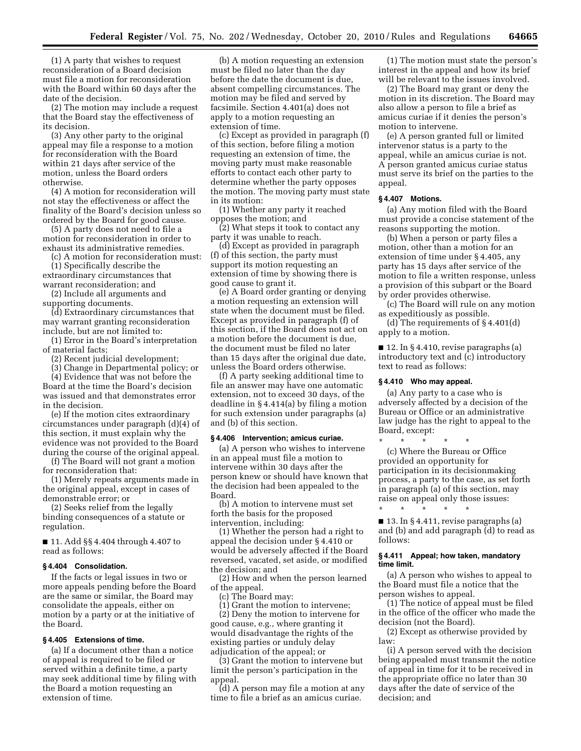(1) A party that wishes to request reconsideration of a Board decision must file a motion for reconsideration with the Board within 60 days after the date of the decision.

(2) The motion may include a request that the Board stay the effectiveness of its decision.

(3) Any other party to the original appeal may file a response to a motion for reconsideration with the Board within 21 days after service of the motion, unless the Board orders otherwise.

(4) A motion for reconsideration will not stay the effectiveness or affect the finality of the Board's decision unless so ordered by the Board for good cause.

(5) A party does not need to file a motion for reconsideration in order to exhaust its administrative remedies.

(c) A motion for reconsideration must: (1) Specifically describe the extraordinary circumstances that

warrant reconsideration; and (2) Include all arguments and

supporting documents.

(d) Extraordinary circumstances that may warrant granting reconsideration include, but are not limited to:

(1) Error in the Board's interpretation of material facts;

(2) Recent judicial development;

(3) Change in Departmental policy; or

(4) Evidence that was not before the Board at the time the Board's decision was issued and that demonstrates error in the decision.

(e) If the motion cites extraordinary circumstances under paragraph (d)(4) of this section, it must explain why the evidence was not provided to the Board during the course of the original appeal.

(f) The Board will not grant a motion for reconsideration that:

(1) Merely repeats arguments made in the original appeal, except in cases of demonstrable error; or

(2) Seeks relief from the legally binding consequences of a statute or regulation.

■ 11. Add §§ 4.404 through 4.407 to read as follows:

# **§ 4.404 Consolidation.**

If the facts or legal issues in two or more appeals pending before the Board are the same or similar, the Board may consolidate the appeals, either on motion by a party or at the initiative of the Board.

## **§ 4.405 Extensions of time.**

(a) If a document other than a notice of appeal is required to be filed or served within a definite time, a party may seek additional time by filing with the Board a motion requesting an extension of time.

(b) A motion requesting an extension must be filed no later than the day before the date the document is due, absent compelling circumstances. The motion may be filed and served by facsimile. Section 4.401(a) does not apply to a motion requesting an extension of time.

(c) Except as provided in paragraph (f) of this section, before filing a motion requesting an extension of time, the moving party must make reasonable efforts to contact each other party to determine whether the party opposes the motion. The moving party must state in its motion:

(1) Whether any party it reached opposes the motion; and

(2) What steps it took to contact any party it was unable to reach.

(d) Except as provided in paragraph (f) of this section, the party must support its motion requesting an extension of time by showing there is good cause to grant it.

(e) A Board order granting or denying a motion requesting an extension will state when the document must be filed. Except as provided in paragraph (f) of this section, if the Board does not act on a motion before the document is due, the document must be filed no later than 15 days after the original due date, unless the Board orders otherwise.

(f) A party seeking additional time to file an answer may have one automatic extension, not to exceed 30 days, of the deadline in § 4.414(a) by filing a motion for such extension under paragraphs (a) and (b) of this section.

## **§ 4.406 Intervention; amicus curiae.**

(a) A person who wishes to intervene in an appeal must file a motion to intervene within 30 days after the person knew or should have known that the decision had been appealed to the Board.

(b) A motion to intervene must set forth the basis for the proposed intervention, including:

(1) Whether the person had a right to appeal the decision under § 4.410 or would be adversely affected if the Board reversed, vacated, set aside, or modified the decision; and

(2) How and when the person learned of the appeal.

(c) The Board may:

(1) Grant the motion to intervene; (2) Deny the motion to intervene for good cause, e.g., where granting it would disadvantage the rights of the existing parties or unduly delay adjudication of the appeal; or

(3) Grant the motion to intervene but limit the person's participation in the appeal.

(d) A person may file a motion at any time to file a brief as an amicus curiae.

(1) The motion must state the person's interest in the appeal and how its brief will be relevant to the issues involved.

(2) The Board may grant or deny the motion in its discretion. The Board may also allow a person to file a brief as amicus curiae if it denies the person's motion to intervene.

(e) A person granted full or limited intervenor status is a party to the appeal, while an amicus curiae is not. A person granted amicus curiae status must serve its brief on the parties to the appeal.

# **§ 4.407 Motions.**

(a) Any motion filed with the Board must provide a concise statement of the reasons supporting the motion.

(b) When a person or party files a motion, other than a motion for an extension of time under § 4.405, any party has 15 days after service of the motion to file a written response, unless a provision of this subpart or the Board by order provides otherwise.

(c) The Board will rule on any motion as expeditiously as possible.

(d) The requirements of § 4.401(d) apply to a motion.

■ 12. In § 4.410, revise paragraphs (a) introductory text and (c) introductory text to read as follows:

#### **§ 4.410 Who may appeal.**

(a) Any party to a case who is adversely affected by a decision of the Bureau or Office or an administrative law judge has the right to appeal to the Board, except:

\* \* \* \* \* (c) Where the Bureau or Office provided an opportunity for participation in its decisionmaking process, a party to the case, as set forth in paragraph (a) of this section, may raise on appeal only those issues: \* \* \* \* \*

■ 13. In § 4.411, revise paragraphs (a) and (b) and add paragraph (d) to read as follows:

# **§ 4.411 Appeal; how taken, mandatory time limit.**

(a) A person who wishes to appeal to the Board must file a notice that the person wishes to appeal.

(1) The notice of appeal must be filed in the office of the officer who made the decision (not the Board).

(2) Except as otherwise provided by law:

(i) A person served with the decision being appealed must transmit the notice of appeal in time for it to be received in the appropriate office no later than 30 days after the date of service of the decision; and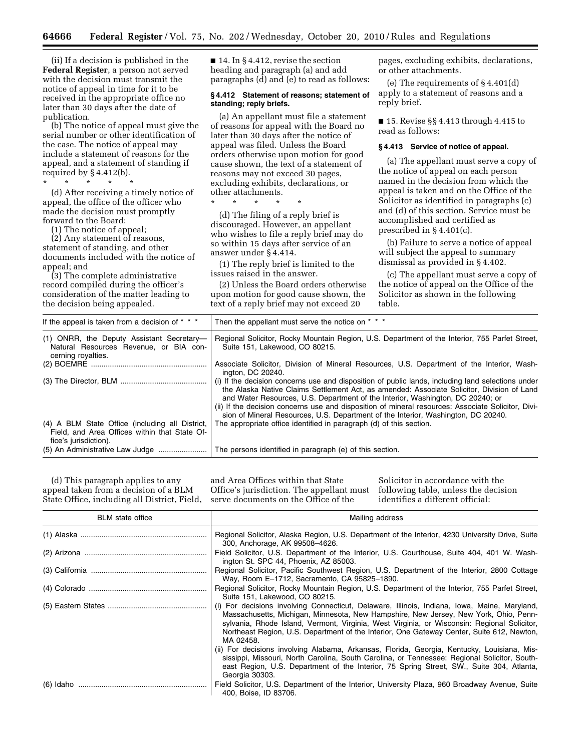(ii) If a decision is published in the **Federal Register**, a person not served with the decision must transmit the notice of appeal in time for it to be received in the appropriate office no later than 30 days after the date of publication.

(b) The notice of appeal must give the serial number or other identification of the case. The notice of appeal may include a statement of reasons for the appeal, and a statement of standing if required by  $§$  4.412(b).

\* \* \* \* \*

(d) After receiving a timely notice of appeal, the office of the officer who made the decision must promptly forward to the Board:

(1) The notice of appeal;

(2) Any statement of reasons, statement of standing, and other documents included with the notice of appeal; and

(3) The complete administrative record compiled during the officer's consideration of the matter leading to the decision being appealed.

■ 14. In § 4.412, revise the section heading and paragraph (a) and add paragraphs (d) and (e) to read as follows:

#### **§ 4.412 Statement of reasons; statement of standing; reply briefs.**

(a) An appellant must file a statement of reasons for appeal with the Board no later than 30 days after the notice of appeal was filed. Unless the Board orders otherwise upon motion for good cause shown, the text of a statement of reasons may not exceed 30 pages, excluding exhibits, declarations, or other attachments.

\* \* \* \* \*

(d) The filing of a reply brief is discouraged. However, an appellant who wishes to file a reply brief may do so within 15 days after service of an answer under § 4.414.

(1) The reply brief is limited to the issues raised in the answer.

(2) Unless the Board orders otherwise upon motion for good cause shown, the text of a reply brief may not exceed 20

pages, excluding exhibits, declarations, or other attachments.

(e) The requirements of § 4.401(d) apply to a statement of reasons and a reply brief.

■ 15. Revise §§ 4.413 through 4.415 to read as follows:

#### **§ 4.413 Service of notice of appeal.**

(a) The appellant must serve a copy of the notice of appeal on each person named in the decision from which the appeal is taken and on the Office of the Solicitor as identified in paragraphs (c) and (d) of this section. Service must be accomplished and certified as prescribed in § 4.401(c).

(b) Failure to serve a notice of appeal will subject the appeal to summary dismissal as provided in § 4.402.

(c) The appellant must serve a copy of the notice of appeal on the Office of the Solicitor as shown in the following table.

| If the appeal is taken from a decision of * * *                                                                           | Then the appellant must serve the notice on * * *                                                                                                                                                                                                                                                                                                                                                                                                                            |
|---------------------------------------------------------------------------------------------------------------------------|------------------------------------------------------------------------------------------------------------------------------------------------------------------------------------------------------------------------------------------------------------------------------------------------------------------------------------------------------------------------------------------------------------------------------------------------------------------------------|
| (1) ONRR, the Deputy Assistant Secretary-<br>Natural Resources Revenue, or BIA con-<br>cerning royalties.                 | Regional Solicitor, Rocky Mountain Region, U.S. Department of the Interior, 755 Parfet Street,<br>Suite 151, Lakewood, CO 80215.                                                                                                                                                                                                                                                                                                                                             |
|                                                                                                                           | Associate Solicitor, Division of Mineral Resources, U.S. Department of the Interior, Wash-<br>ington, DC 20240.                                                                                                                                                                                                                                                                                                                                                              |
|                                                                                                                           | (i) If the decision concerns use and disposition of public lands, including land selections under<br>the Alaska Native Claims Settlement Act, as amended: Associate Solicitor, Division of Land<br>and Water Resources, U.S. Department of the Interior, Washington, DC 20240; or<br>(ii) If the decision concerns use and disposition of mineral resources: Associate Solicitor, Divi-<br>sion of Mineral Resources, U.S. Department of the Interior, Washington, DC 20240. |
| (4) A BLM State Office (including all District,<br>Field, and Area Offices within that State Of-<br>fice's jurisdiction). | The appropriate office identified in paragraph (d) of this section.                                                                                                                                                                                                                                                                                                                                                                                                          |
|                                                                                                                           | The persons identified in paragraph (e) of this section.                                                                                                                                                                                                                                                                                                                                                                                                                     |

(d) This paragraph applies to any appeal taken from a decision of a BLM State Office, including all District, Field,

and Area Offices within that State Office's jurisdiction. The appellant must serve documents on the Office of the

Solicitor in accordance with the following table, unless the decision identifies a different official:

| <b>BLM</b> state office | Mailing address                                                                                                                                                                                                                                                                                                                                                                               |
|-------------------------|-----------------------------------------------------------------------------------------------------------------------------------------------------------------------------------------------------------------------------------------------------------------------------------------------------------------------------------------------------------------------------------------------|
|                         | Regional Solicitor, Alaska Region, U.S. Department of the Interior, 4230 University Drive, Suite<br>300, Anchorage, AK 99508-4626.                                                                                                                                                                                                                                                            |
|                         | Field Solicitor, U.S. Department of the Interior, U.S. Courthouse, Suite 404, 401 W. Wash-<br>ington St. SPC 44, Phoenix, AZ 85003.                                                                                                                                                                                                                                                           |
|                         | Regional Solicitor, Pacific Southwest Region, U.S. Department of the Interior, 2800 Cottage<br>Way, Room E-1712, Sacramento, CA 95825-1890.                                                                                                                                                                                                                                                   |
|                         | Regional Solicitor, Rocky Mountain Region, U.S. Department of the Interior, 755 Parfet Street,<br>Suite 151, Lakewood, CO 80215.                                                                                                                                                                                                                                                              |
|                         | (i) For decisions involving Connecticut, Delaware, Illinois, Indiana, Iowa, Maine, Maryland,<br>Massachusetts, Michigan, Minnesota, New Hampshire, New Jersey, New York, Ohio, Penn-<br>sylvania, Rhode Island, Vermont, Virginia, West Virginia, or Wisconsin: Regional Solicitor,<br>Northeast Region, U.S. Department of the Interior, One Gateway Center, Suite 612, Newton,<br>MA 02458. |
|                         | (ii) For decisions involving Alabama, Arkansas, Florida, Georgia, Kentucky, Louisiana, Mis-<br>sissippi, Missouri, North Carolina, South Carolina, or Tennessee: Regional Solicitor, South-<br>east Region, U.S. Department of the Interior, 75 Spring Street, SW., Suite 304, Atlanta,<br>Georgia 30303.                                                                                     |
|                         | Field Solicitor, U.S. Department of the Interior, University Plaza, 960 Broadway Avenue, Suite<br>400. Boise. ID 83706.                                                                                                                                                                                                                                                                       |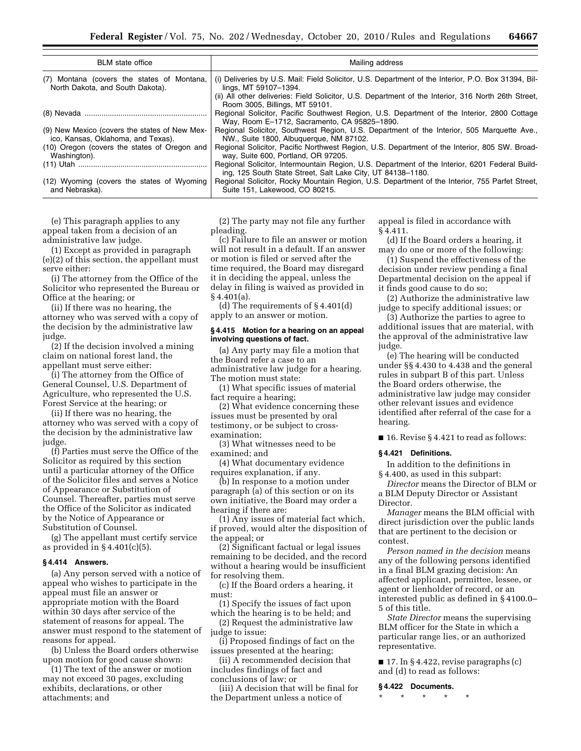| <b>BLM</b> state office                       | Mailing address                                                                                                                                               |
|-----------------------------------------------|---------------------------------------------------------------------------------------------------------------------------------------------------------------|
| (7) Montana (covers the states of Montana,    | (i) Deliveries by U.S. Mail: Field Solicitor, U.S. Department of the Interior, P.O. Box 31394, Bil-                                                           |
| North Dakota, and South Dakota).              | lings, MT 59107-1394.                                                                                                                                         |
|                                               | (ii) All other deliveries: Field Solicitor, U.S. Department of the Interior, 316 North 26th Street,<br>Room 3005, Billings, MT 59101.                         |
|                                               | Regional Solicitor, Pacific Southwest Region, U.S. Department of the Interior, 2800 Cottage<br>Way, Room E-1712, Sacramento, CA 95825-1890.                   |
| (9) New Mexico (covers the states of New Mex- | Regional Solicitor, Southwest Region, U.S. Department of the Interior, 505 Marguette Ave.,                                                                    |
| ico, Kansas, Oklahoma, and Texas).            | NW., Suite 1800, Albuguergue, NM 87102.                                                                                                                       |
| (10) Oregon (covers the states of Oregon and  | Regional Solicitor, Pacific Northwest Region, U.S. Department of the Interior, 805 SW. Broad-                                                                 |
| Washington).                                  | way, Suite 600, Portland, OR 97205.                                                                                                                           |
|                                               | Regional Solicitor, Intermountain Region, U.S. Department of the Interior, 6201 Federal Build-<br>ing, 125 South State Street, Salt Lake City, UT 84138-1180. |
| (12) Wyoming (covers the states of Wyoming    | Regional Solicitor, Rocky Mountain Region, U.S. Department of the Interior, 755 Parfet Street,                                                                |
| and Nebraska).                                | Suite 151, Lakewood, CO 80215.                                                                                                                                |

(e) This paragraph applies to any appeal taken from a decision of an administrative law judge.

(1) Except as provided in paragraph (e)(2) of this section, the appellant must serve either:

(i) The attorney from the Office of the Solicitor who represented the Bureau or Office at the hearing; or

(ii) If there was no hearing, the attorney who was served with a copy of the decision by the administrative law judge.

(2) If the decision involved a mining claim on national forest land, the appellant must serve either:

(i) The attorney from the Office of General Counsel, U.S. Department of Agriculture, who represented the U.S. Forest Service at the hearing; or

(ii) If there was no hearing, the attorney who was served with a copy of the decision by the administrative law judge.

(f) Parties must serve the Office of the Solicitor as required by this section until a particular attorney of the Office of the Solicitor files and serves a Notice of Appearance or Substitution of Counsel. Thereafter, parties must serve the Office of the Solicitor as indicated by the Notice of Appearance or Substitution of Counsel.

(g) The appellant must certify service as provided in § 4.401(c)(5).

#### **§ 4.414 Answers.**

(a) Any person served with a notice of appeal who wishes to participate in the appeal must file an answer or appropriate motion with the Board within 30 days after service of the statement of reasons for appeal. The answer must respond to the statement of reasons for appeal.

(b) Unless the Board orders otherwise upon motion for good cause shown:

(1) The text of the answer or motion may not exceed 30 pages, excluding exhibits, declarations, or other attachments; and

(2) The party may not file any further pleading.

(c) Failure to file an answer or motion will not result in a default. If an answer or motion is filed or served after the time required, the Board may disregard it in deciding the appeal, unless the delay in filing is waived as provided in § 4.401(a).

(d) The requirements of § 4.401(d) apply to an answer or motion.

### **§ 4.415 Motion for a hearing on an appeal involving questions of fact.**

(a) Any party may file a motion that the Board refer a case to an administrative law judge for a hearing. The motion must state:

(1) What specific issues of material fact require a hearing;

(2) What evidence concerning these issues must be presented by oral testimony, or be subject to crossexamination;

(3) What witnesses need to be examined; and

(4) What documentary evidence requires explanation, if any.

(b) In response to a motion under paragraph (a) of this section or on its own initiative, the Board may order a hearing if there are:

(1) Any issues of material fact which, if proved, would alter the disposition of the appeal; or

(2) Significant factual or legal issues remaining to be decided, and the record without a hearing would be insufficient for resolving them.

(c) If the Board orders a hearing, it must:

(1) Specify the issues of fact upon which the hearing is to be held; and

(2) Request the administrative law judge to issue:

(i) Proposed findings of fact on the issues presented at the hearing;

(ii) A recommended decision that includes findings of fact and conclusions of law; or

(iii) A decision that will be final for the Department unless a notice of

appeal is filed in accordance with § 4.411.

(d) If the Board orders a hearing, it may do one or more of the following:

(1) Suspend the effectiveness of the decision under review pending a final Departmental decision on the appeal if it finds good cause to do so;

(2) Authorize the administrative law judge to specify additional issues; or

(3) Authorize the parties to agree to additional issues that are material, with the approval of the administrative law judge.

(e) The hearing will be conducted under §§ 4.430 to 4.438 and the general rules in subpart B of this part. Unless the Board orders otherwise, the administrative law judge may consider other relevant issues and evidence identified after referral of the case for a hearing.

■ 16. Revise § 4.421 to read as follows:

# **§ 4.421 Definitions.**

In addition to the definitions in § 4.400, as used in this subpart:

*Director* means the Director of BLM or a BLM Deputy Director or Assistant Director.

*Manager* means the BLM official with direct jurisdiction over the public lands that are pertinent to the decision or contest.

*Person named in the decision* means any of the following persons identified in a final BLM grazing decision: An affected applicant, permittee, lessee, or agent or lienholder of record, or an interested public as defined in § 4100.0– 5 of this title.

*State Director* means the supervising BLM officer for the State in which a particular range lies, or an authorized representative.

 $\blacksquare$  17. In § 4.422, revise paragraphs (c) and (d) to read as follows:

## **§ 4.422 Documents.**

\* \* \* \* \*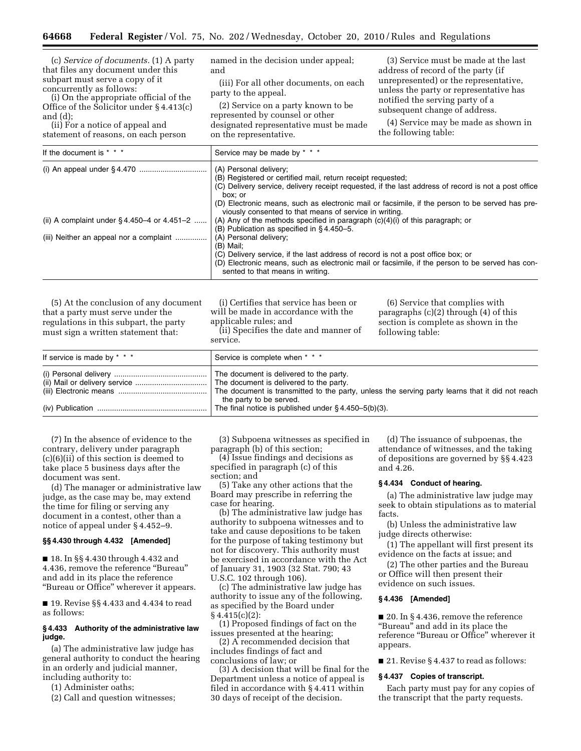(c) *Service of documents.* (1) A party that files any document under this subpart must serve a copy of it concurrently as follows:

(i) On the appropriate official of the Office of the Solicitor under § 4.413(c) and (d);

(ii) For a notice of appeal and statement of reasons, on each person named in the decision under appeal; and

(iii) For all other documents, on each party to the appeal.

(2) Service on a party known to be represented by counsel or other designated representative must be made on the representative.

(3) Service must be made at the last address of record of the party (if unrepresented) or the representative, unless the party or representative has notified the serving party of a subsequent change of address.

(4) Service may be made as shown in the following table:

| If the document is * * *                             | Service may be made by * * *                                                                                                                                                                                            |
|------------------------------------------------------|-------------------------------------------------------------------------------------------------------------------------------------------------------------------------------------------------------------------------|
|                                                      | (A) Personal delivery;                                                                                                                                                                                                  |
|                                                      | (B) Registered or certified mail, return receipt requested;<br>(C) Delivery service, delivery receipt requested, if the last address of record is not a post office<br>box: or                                          |
|                                                      | (D) Electronic means, such as electronic mail or facsimile, if the person to be served has pre-<br>viously consented to that means of service in writing.                                                               |
| (ii) A complaint under $\S 4.450 - 4$ or $4.451 - 2$ | (A) Any of the methods specified in paragraph $(c)(4)(i)$ of this paragraph; or<br>(B) Publication as specified in $\S$ 4.450-5.                                                                                        |
| (iii) Neither an appeal nor a complaint              | (A) Personal delivery;<br>(B) Mail:                                                                                                                                                                                     |
|                                                      | (C) Delivery service, if the last address of record is not a post office box; or<br>(D) Electronic means, such as electronic mail or facsimile, if the person to be served has con-<br>sented to that means in writing. |

(5) At the conclusion of any document that a party must serve under the regulations in this subpart, the party must sign a written statement that:

(i) Certifies that service has been or will be made in accordance with the applicable rules; and (ii) Specifies the date and manner of service.

(6) Service that complies with paragraphs (c)(2) through (4) of this section is complete as shown in the following table:

| If service is made by * * * | Service is complete when * * *                                                                                                                                        |
|-----------------------------|-----------------------------------------------------------------------------------------------------------------------------------------------------------------------|
|                             | The document is delivered to the party.<br>The document is transmitted to the party, unless the serving party learns that it did not reach<br>the party to be served. |
|                             | The final notice is published under $\S 4.450 - 5(b)(3)$ .                                                                                                            |

(7) In the absence of evidence to the contrary, delivery under paragraph (c)(6)(ii) of this section is deemed to take place 5 business days after the document was sent.

(d) The manager or administrative law judge, as the case may be, may extend the time for filing or serving any document in a contest, other than a notice of appeal under § 4.452–9.

### **§§ 4.430 through 4.432 [Amended]**

■ 18. In §§ 4.430 through 4.432 and 4.436, remove the reference ''Bureau'' and add in its place the reference ''Bureau or Office'' wherever it appears.

■ 19. Revise §§ 4.433 and 4.434 to read as follows:

# **§ 4.433 Authority of the administrative law judge.**

(a) The administrative law judge has general authority to conduct the hearing in an orderly and judicial manner, including authority to:

(1) Administer oaths;

(2) Call and question witnesses;

(3) Subpoena witnesses as specified in paragraph (b) of this section;

(4) Issue findings and decisions as specified in paragraph (c) of this section; and

(5) Take any other actions that the Board may prescribe in referring the case for hearing.

(b) The administrative law judge has authority to subpoena witnesses and to take and cause depositions to be taken for the purpose of taking testimony but not for discovery. This authority must be exercised in accordance with the Act of January 31, 1903 (32 Stat. 790; 43 U.S.C. 102 through 106).

(c) The administrative law judge has authority to issue any of the following, as specified by the Board under  $§ 4.415(c)(2):$ 

(1) Proposed findings of fact on the issues presented at the hearing;

(2) A recommended decision that includes findings of fact and conclusions of law; or

(3) A decision that will be final for the Department unless a notice of appeal is filed in accordance with § 4.411 within 30 days of receipt of the decision.

(d) The issuance of subpoenas, the attendance of witnesses, and the taking of depositions are governed by §§ 4.423 and 4.26.

# **§ 4.434 Conduct of hearing.**

(a) The administrative law judge may seek to obtain stipulations as to material facts.

(b) Unless the administrative law judge directs otherwise:

(1) The appellant will first present its evidence on the facts at issue; and

(2) The other parties and the Bureau or Office will then present their evidence on such issues.

### **§ 4.436 [Amended]**

■ 20. In § 4.436, remove the reference ''Bureau'' and add in its place the reference "Bureau or Office" wherever it appears.

■ 21. Revise § 4.437 to read as follows:

# **§ 4.437 Copies of transcript.**

Each party must pay for any copies of the transcript that the party requests.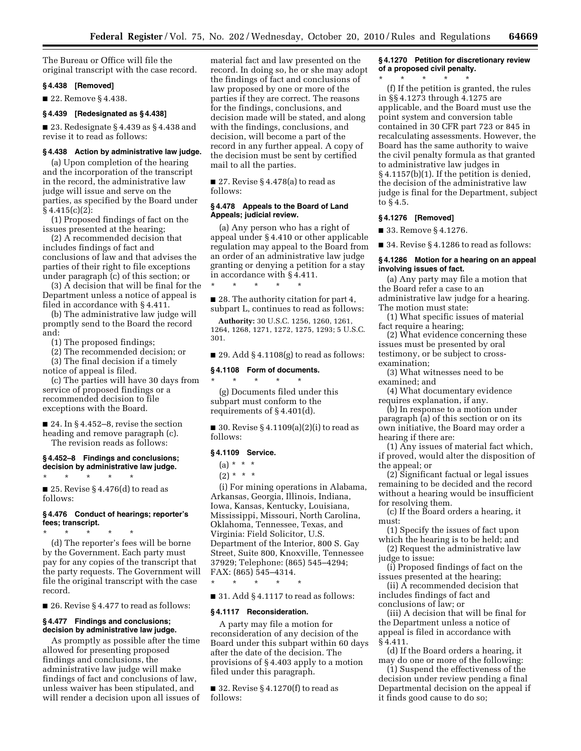The Bureau or Office will file the original transcript with the case record.

# **§ 4.438 [Removed]**

■ 22. Remove § 4.438.

### **§ 4.439 [Redesignated as § 4.438]**

■ 23. Redesignate § 4.439 as § 4.438 and revise it to read as follows:

#### **§ 4.438 Action by administrative law judge.**

(a) Upon completion of the hearing and the incorporation of the transcript in the record, the administrative law judge will issue and serve on the parties, as specified by the Board under  $§ 4.415(c)(2)$ :

(1) Proposed findings of fact on the issues presented at the hearing;

(2) A recommended decision that includes findings of fact and conclusions of law and that advises the parties of their right to file exceptions under paragraph (c) of this section; or

(3) A decision that will be final for the Department unless a notice of appeal is filed in accordance with § 4.411.

(b) The administrative law judge will promptly send to the Board the record and:

(1) The proposed findings;

(2) The recommended decision; or

(3) The final decision if a timely

notice of appeal is filed. (c) The parties will have 30 days from service of proposed findings or a recommended decision to file exceptions with the Board.

■ 24. In § 4.452–8, revise the section heading and remove paragraph (c). The revision reads as follows:

## **§ 4.452–8 Findings and conclusions; decision by administrative law judge.**

\* \* \* \* \* ■ 25. Revise § 4.476(d) to read as follows:

## **§ 4.476 Conduct of hearings; reporter's fees; transcript.**

\* \* \* \* \* (d) The reporter's fees will be borne by the Government. Each party must pay for any copies of the transcript that the party requests. The Government will file the original transcript with the case record.

■ 26. Revise § 4.477 to read as follows:

# **§ 4.477 Findings and conclusions; decision by administrative law judge.**

As promptly as possible after the time allowed for presenting proposed findings and conclusions, the administrative law judge will make findings of fact and conclusions of law, unless waiver has been stipulated, and will render a decision upon all issues of material fact and law presented on the record. In doing so, he or she may adopt the findings of fact and conclusions of law proposed by one or more of the parties if they are correct. The reasons for the findings, conclusions, and decision made will be stated, and along with the findings, conclusions, and decision, will become a part of the record in any further appeal. A copy of the decision must be sent by certified mail to all the parties.

■ 27. Revise § 4.478(a) to read as follows:

### **§ 4.478 Appeals to the Board of Land Appeals; judicial review.**

(a) Any person who has a right of appeal under § 4.410 or other applicable regulation may appeal to the Board from an order of an administrative law judge granting or denying a petition for a stay in accordance with § 4.411.

■ 28. The authority citation for part 4, subpart L, continues to read as follows:

**Authority:** 30 U.S.C. 1256, 1260, 1261, 1264, 1268, 1271, 1272, 1275, 1293; 5 U.S.C. 301.

■ 29. Add § 4.1108(g) to read as follows:

### **§ 4.1108 Form of documents.**

\* \* \* \* \*

\* \* \* \* \* (g) Documents filed under this subpart must conform to the requirements of § 4.401(d).

■ 30. Revise § 4.1109(a)(2)(i) to read as follows:

## **§ 4.1109 Service.**

 $(a) * * * *$ 

 $(2) * * * *$ 

(i) For mining operations in Alabama, Arkansas, Georgia, Illinois, Indiana, Iowa, Kansas, Kentucky, Louisiana, Mississippi, Missouri, North Carolina, Oklahoma, Tennessee, Texas, and Virginia: Field Solicitor, U.S. Department of the Interior, 800 S. Gay Street, Suite 800, Knoxville, Tennessee 37929; Telephone: (865) 545–4294; FAX: (865) 545–4314.

 $\blacksquare$  31. Add § 4.1117 to read as follows:

#### **§ 4.1117 Reconsideration.**

\* \* \* \* \*

A party may file a motion for reconsideration of any decision of the Board under this subpart within 60 days after the date of the decision. The provisions of § 4.403 apply to a motion filed under this paragraph.

 $\blacksquare$  32. Revise § 4.1270(f) to read as follows:

# **§ 4.1270 Petition for discretionary review of a proposed civil penalty.**

\* \* \* \* \*

(f) If the petition is granted, the rules in §§ 4.1273 through 4.1275 are applicable, and the Board must use the point system and conversion table contained in 30 CFR part 723 or 845 in recalculating assessments. However, the Board has the same authority to waive the civil penalty formula as that granted to administrative law judges in § 4.1157(b)(1). If the petition is denied, the decision of the administrative law judge is final for the Department, subject to § 4.5.

# **§ 4.1276 [Removed]**

■ 33. Remove § 4.1276.

■ 34. Revise § 4.1286 to read as follows:

# **§ 4.1286 Motion for a hearing on an appeal involving issues of fact.**

(a) Any party may file a motion that the Board refer a case to an administrative law judge for a hearing. The motion must state:

(1) What specific issues of material fact require a hearing;

(2) What evidence concerning these issues must be presented by oral testimony, or be subject to crossexamination;

(3) What witnesses need to be examined; and

(4) What documentary evidence requires explanation, if any.

(b) In response to a motion under paragraph (a) of this section or on its own initiative, the Board may order a hearing if there are:

(1) Any issues of material fact which, if proved, would alter the disposition of the appeal; or

(2) Significant factual or legal issues remaining to be decided and the record without a hearing would be insufficient for resolving them.

(c) If the Board orders a hearing, it must:

(1) Specify the issues of fact upon which the hearing is to be held; and

(2) Request the administrative law judge to issue:

(i) Proposed findings of fact on the issues presented at the hearing;

(ii) A recommended decision that includes findings of fact and conclusions of law; or

(iii) A decision that will be final for the Department unless a notice of appeal is filed in accordance with § 4.411.

(d) If the Board orders a hearing, it may do one or more of the following:

(1) Suspend the effectiveness of the decision under review pending a final Departmental decision on the appeal if it finds good cause to do so;